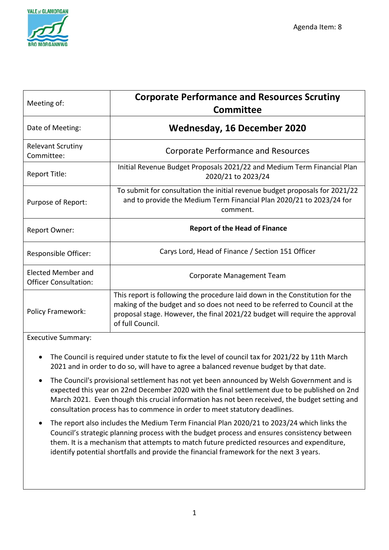

| Meeting of:                                        | <b>Corporate Performance and Resources Scrutiny</b><br>Committee                                                                                                                                                                                              |
|----------------------------------------------------|---------------------------------------------------------------------------------------------------------------------------------------------------------------------------------------------------------------------------------------------------------------|
| Date of Meeting:                                   | <b>Wednesday, 16 December 2020</b>                                                                                                                                                                                                                            |
| <b>Relevant Scrutiny</b><br>Committee:             | <b>Corporate Performance and Resources</b>                                                                                                                                                                                                                    |
| Report Title:                                      | Initial Revenue Budget Proposals 2021/22 and Medium Term Financial Plan<br>2020/21 to 2023/24                                                                                                                                                                 |
| Purpose of Report:                                 | To submit for consultation the initial revenue budget proposals for 2021/22<br>and to provide the Medium Term Financial Plan 2020/21 to 2023/24 for<br>comment.                                                                                               |
| <b>Report Owner:</b>                               | <b>Report of the Head of Finance</b>                                                                                                                                                                                                                          |
| Responsible Officer:                               | Carys Lord, Head of Finance / Section 151 Officer                                                                                                                                                                                                             |
| Elected Member and<br><b>Officer Consultation:</b> | Corporate Management Team                                                                                                                                                                                                                                     |
| <b>Policy Framework:</b>                           | This report is following the procedure laid down in the Constitution for the<br>making of the budget and so does not need to be referred to Council at the<br>proposal stage. However, the final 2021/22 budget will require the approval<br>of full Council. |

Executive Summary:

- The Council is required under statute to fix the level of council tax for 2021/22 by 11th March 2021 and in order to do so, will have to agree a balanced revenue budget by that date.
- The Council's provisional settlement has not yet been announced by Welsh Government and is expected this year on 22nd December 2020 with the final settlement due to be published on 2nd March 2021. Even though this crucial information has not been received, the budget setting and consultation process has to commence in order to meet statutory deadlines.
- The report also includes the Medium Term Financial Plan 2020/21 to 2023/24 which links the Council's strategic planning process with the budget process and ensures consistency between them. It is a mechanism that attempts to match future predicted resources and expenditure, identify potential shortfalls and provide the financial framework for the next 3 years.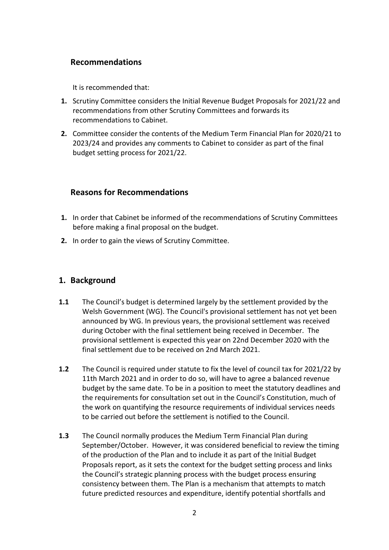# **Recommendations**

It is recommended that:

- **1.** Scrutiny Committee considers the Initial Revenue Budget Proposals for 2021/22 and recommendations from other Scrutiny Committees and forwards its recommendations to Cabinet.
- **2.** Committee consider the contents of the Medium Term Financial Plan for 2020/21 to 2023/24 and provides any comments to Cabinet to consider as part of the final budget setting process for 2021/22.

# **Reasons for Recommendations**

- **1.** In order that Cabinet be informed of the recommendations of Scrutiny Committees before making a final proposal on the budget.
- **2.** In order to gain the views of Scrutiny Committee.

# **1. Background**

- **1.1** The Council's budget is determined largely by the settlement provided by the Welsh Government (WG). The Council's provisional settlement has not yet been announced by WG. In previous years, the provisional settlement was received during October with the final settlement being received in December. The provisional settlement is expected this year on 22nd December 2020 with the final settlement due to be received on 2nd March 2021.
- **1.2** The Council is required under statute to fix the level of council tax for 2021/22 by 11th March 2021 and in order to do so, will have to agree a balanced revenue budget by the same date. To be in a position to meet the statutory deadlines and the requirements for consultation set out in the Council's Constitution, much of the work on quantifying the resource requirements of individual services needs to be carried out before the settlement is notified to the Council.
- **1.3** The Council normally produces the Medium Term Financial Plan during September/October. However, it was considered beneficial to review the timing of the production of the Plan and to include it as part of the Initial Budget Proposals report, as it sets the context for the budget setting process and links the Council's strategic planning process with the budget process ensuring consistency between them. The Plan is a mechanism that attempts to match future predicted resources and expenditure, identify potential shortfalls and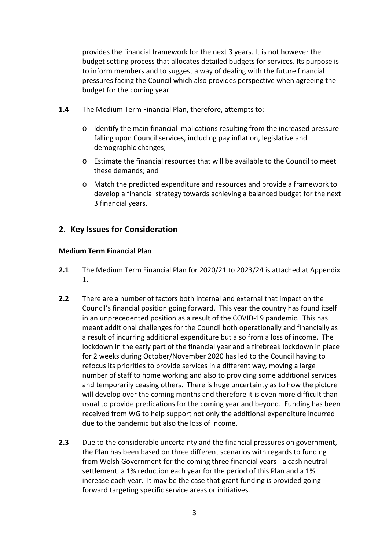provides the financial framework for the next 3 years. It is not however the budget setting process that allocates detailed budgets for services. Its purpose is to inform members and to suggest a way of dealing with the future financial pressures facing the Council which also provides perspective when agreeing the budget for the coming year.

- **1.4** The Medium Term Financial Plan, therefore, attempts to:
	- o Identify the main financial implications resulting from the increased pressure falling upon Council services, including pay inflation, legislative and demographic changes;
	- o Estimate the financial resources that will be available to the Council to meet these demands; and
	- o Match the predicted expenditure and resources and provide a framework to develop a financial strategy towards achieving a balanced budget for the next 3 financial years.

# **2. Key Issues for Consideration**

#### **Medium Term Financial Plan**

- **2.1** The Medium Term Financial Plan for 2020/21 to 2023/24 is attached at Appendix 1.
- **2.2** There are a number of factors both internal and external that impact on the Council's financial position going forward. This year the country has found itself in an unprecedented position as a result of the COVID-19 pandemic. This has meant additional challenges for the Council both operationally and financially as a result of incurring additional expenditure but also from a loss of income. The lockdown in the early part of the financial year and a firebreak lockdown in place for 2 weeks during October/November 2020 has led to the Council having to refocus its priorities to provide services in a different way, moving a large number of staff to home working and also to providing some additional services and temporarily ceasing others. There is huge uncertainty as to how the picture will develop over the coming months and therefore it is even more difficult than usual to provide predications for the coming year and beyond. Funding has been received from WG to help support not only the additional expenditure incurred due to the pandemic but also the loss of income.
- **2.3** Due to the considerable uncertainty and the financial pressures on government, the Plan has been based on three different scenarios with regards to funding from Welsh Government for the coming three financial years - a cash neutral settlement, a 1% reduction each year for the period of this Plan and a 1% increase each year. It may be the case that grant funding is provided going forward targeting specific service areas or initiatives.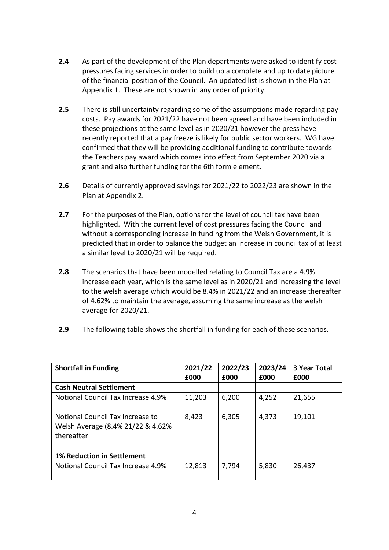- **2.4** As part of the development of the Plan departments were asked to identify cost pressures facing services in order to build up a complete and up to date picture of the financial position of the Council. An updated list is shown in the Plan at Appendix 1. These are not shown in any order of priority.
- **2.5** There is still uncertainty regarding some of the assumptions made regarding pay costs. Pay awards for 2021/22 have not been agreed and have been included in these projections at the same level as in 2020/21 however the press have recently reported that a pay freeze is likely for public sector workers. WG have confirmed that they will be providing additional funding to contribute towards the Teachers pay award which comes into effect from September 2020 via a grant and also further funding for the 6th form element.
- **2.6** Details of currently approved savings for 2021/22 to 2022/23 are shown in the Plan at Appendix 2.
- **2.7** For the purposes of the Plan, options for the level of council tax have been highlighted. With the current level of cost pressures facing the Council and without a corresponding increase in funding from the Welsh Government, it is predicted that in order to balance the budget an increase in council tax of at least a similar level to 2020/21 will be required.
- **2.8** The scenarios that have been modelled relating to Council Tax are a 4.9% increase each year, which is the same level as in 2020/21 and increasing the level to the welsh average which would be 8.4% in 2021/22 and an increase thereafter of 4.62% to maintain the average, assuming the same increase as the welsh average for 2020/21.
- **2.9** The following table shows the shortfall in funding for each of these scenarios.

| <b>Shortfall in Funding</b>                                                          | 2021/22 | 2022/23 | 2023/24 | <b>3 Year Total</b> |
|--------------------------------------------------------------------------------------|---------|---------|---------|---------------------|
|                                                                                      | £000    | £000    | £000    | £000                |
| <b>Cash Neutral Settlement</b>                                                       |         |         |         |                     |
| Notional Council Tax Increase 4.9%                                                   | 11,203  | 6,200   | 4,252   | 21,655              |
| Notional Council Tax Increase to<br>Welsh Average (8.4% 21/22 & 4.62%)<br>thereafter | 8,423   | 6,305   | 4,373   | 19,101              |
|                                                                                      |         |         |         |                     |
| <b>1% Reduction in Settlement</b>                                                    |         |         |         |                     |
| Notional Council Tax Increase 4.9%                                                   | 12,813  | 7,794   | 5,830   | 26,437              |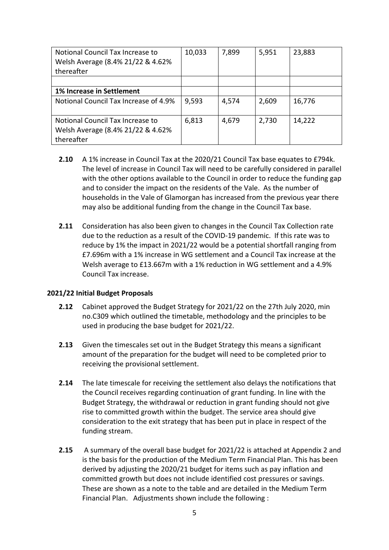| Notional Council Tax Increase to<br>Welsh Average (8.4% 21/22 & 4.62%)<br>thereafter | 10,033 | 7,899 | 5,951 | 23,883 |
|--------------------------------------------------------------------------------------|--------|-------|-------|--------|
|                                                                                      |        |       |       |        |
| 1% Increase in Settlement                                                            |        |       |       |        |
| Notional Council Tax Increase of 4.9%                                                | 9,593  | 4,574 | 2,609 | 16,776 |
| Notional Council Tax Increase to<br>Welsh Average (8.4% 21/22 & 4.62%)<br>thereafter | 6,813  | 4,679 | 2,730 | 14,222 |

- **2.10** A 1% increase in Council Tax at the 2020/21 Council Tax base equates to £794k. The level of increase in Council Tax will need to be carefully considered in parallel with the other options available to the Council in order to reduce the funding gap and to consider the impact on the residents of the Vale. As the number of households in the Vale of Glamorgan has increased from the previous year there may also be additional funding from the change in the Council Tax base.
- **2.11** Consideration has also been given to changes in the Council Tax Collection rate due to the reduction as a result of the COVID-19 pandemic. If this rate was to reduce by 1% the impact in 2021/22 would be a potential shortfall ranging from £7.696m with a 1% increase in WG settlement and a Council Tax increase at the Welsh average to £13.667m with a 1% reduction in WG settlement and a 4.9% Council Tax increase.

#### **2021/22 Initial Budget Proposals**

- **2.12** Cabinet approved the Budget Strategy for 2021/22 on the 27th July 2020, min no.C309 which outlined the timetable, methodology and the principles to be used in producing the base budget for 2021/22.
- **2.13** Given the timescales set out in the Budget Strategy this means a significant amount of the preparation for the budget will need to be completed prior to receiving the provisional settlement.
- **2.14** The late timescale for receiving the settlement also delays the notifications that the Council receives regarding continuation of grant funding. In line with the Budget Strategy, the withdrawal or reduction in grant funding should not give rise to committed growth within the budget. The service area should give consideration to the exit strategy that has been put in place in respect of the funding stream.
- **2.15** A summary of the overall base budget for 2021/22 is attached at Appendix 2 and is the basis for the production of the Medium Term Financial Plan. This has been derived by adjusting the 2020/21 budget for items such as pay inflation and committed growth but does not include identified cost pressures or savings. These are shown as a note to the table and are detailed in the Medium Term Financial Plan. Adjustments shown include the following :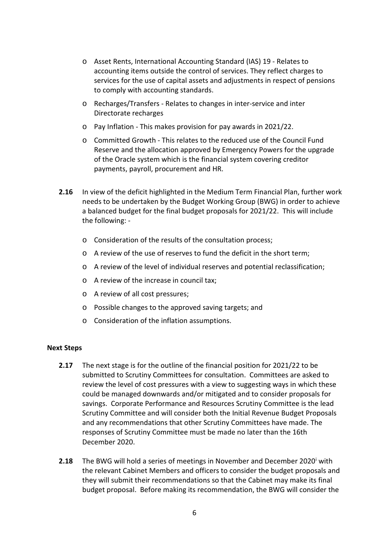- o Asset Rents, International Accounting Standard (IAS) 19 Relates to accounting items outside the control of services. They reflect charges to services for the use of capital assets and adjustments in respect of pensions to comply with accounting standards.
- o Recharges/Transfers Relates to changes in inter-service and inter Directorate recharges
- o Pay Inflation This makes provision for pay awards in 2021/22.
- o Committed Growth This relates to the reduced use of the Council Fund Reserve and the allocation approved by Emergency Powers for the upgrade of the Oracle system which is the financial system covering creditor payments, payroll, procurement and HR.
- **2.16** In view of the deficit highlighted in the Medium Term Financial Plan, further work needs to be undertaken by the Budget Working Group (BWG) in order to achieve a balanced budget for the final budget proposals for 2021/22. This will include the following:
	- o Consideration of the results of the consultation process;
	- o A review of the use of reserves to fund the deficit in the short term;
	- o A review of the level of individual reserves and potential reclassification;
	- o A review of the increase in council tax;
	- o A review of all cost pressures;
	- o Possible changes to the approved saving targets; and
	- o Consideration of the inflation assumptions.

#### **Next Steps**

- **2.17** The next stage is for the outline of the financial position for 2021/22 to be submitted to Scrutiny Committees for consultation. Committees are asked to review the level of cost pressures with a view to suggesting ways in which these could be managed downwards and/or mitigated and to consider proposals for savings. Corporate Performance and Resources Scrutiny Committee is the lead Scrutiny Committee and will consider both the Initial Revenue Budget Proposals and any recommendations that other Scrutiny Committees have made. The responses of Scrutiny Committee must be made no later than the 16th December 2020.
- **2.18** The BWG w[i](#page-8-0)ll hold a series of meetings in November and December 2020<sup>i</sup> with the relevant Cabinet Members and officers to consider the budget proposals and they will submit their recommendations so that the Cabinet may make its final budget proposal. Before making its recommendation, the BWG will consider the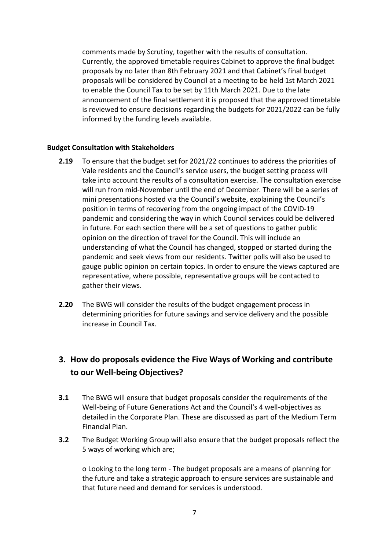comments made by Scrutiny, together with the results of consultation. Currently, the approved timetable requires Cabinet to approve the final budget proposals by no later than 8th February 2021 and that Cabinet's final budget proposals will be considered by Council at a meeting to be held 1st March 2021 to enable the Council Tax to be set by 11th March 2021. Due to the late announcement of the final settlement it is proposed that the approved timetable is reviewed to ensure decisions regarding the budgets for 2021/2022 can be fully informed by the funding levels available.

#### **Budget Consultation with Stakeholders**

- **2.19** To ensure that the budget set for 2021/22 continues to address the priorities of Vale residents and the Council's service users, the budget setting process will take into account the results of a consultation exercise. The consultation exercise will run from mid-November until the end of December. There will be a series of mini presentations hosted via the Council's website, explaining the Council's position in terms of recovering from the ongoing impact of the COVID-19 pandemic and considering the way in which Council services could be delivered in future. For each section there will be a set of questions to gather public opinion on the direction of travel for the Council. This will include an understanding of what the Council has changed, stopped or started during the pandemic and seek views from our residents. Twitter polls will also be used to gauge public opinion on certain topics. In order to ensure the views captured are representative, where possible, representative groups will be contacted to gather their views.
- **2.20** The BWG will consider the results of the budget engagement process in determining priorities for future savings and service delivery and the possible increase in Council Tax.

# **3. How do proposals evidence the Five Ways of Working and contribute to our Well-being Objectives?**

- **3.1** The BWG will ensure that budget proposals consider the requirements of the Well-being of Future Generations Act and the Council's 4 well-objectives as detailed in the Corporate Plan. These are discussed as part of the Medium Term Financial Plan.
- **3.2** The Budget Working Group will also ensure that the budget proposals reflect the 5 ways of working which are;

o Looking to the long term - The budget proposals are a means of planning for the future and take a strategic approach to ensure services are sustainable and that future need and demand for services is understood.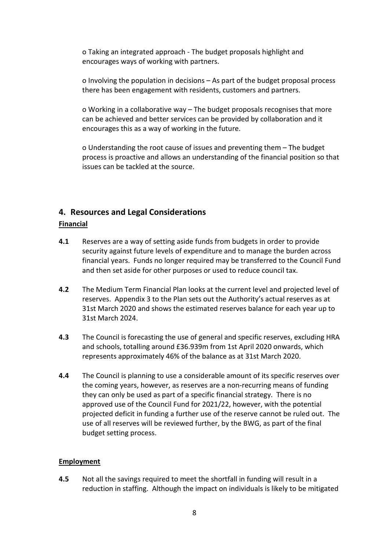o Taking an integrated approach - The budget proposals highlight and encourages ways of working with partners.

o Involving the population in decisions – As part of the budget proposal process there has been engagement with residents, customers and partners.

o Working in a collaborative way – The budget proposals recognises that more can be achieved and better services can be provided by collaboration and it encourages this as a way of working in the future.

o Understanding the root cause of issues and preventing them – The budget process is proactive and allows an understanding of the financial position so that issues can be tackled at the source.

# **4. Resources and Legal Considerations**

### **Financial**

- **4.1** Reserves are a way of setting aside funds from budgets in order to provide security against future levels of expenditure and to manage the burden across financial years. Funds no longer required may be transferred to the Council Fund and then set aside for other purposes or used to reduce council tax.
- **4.2** The Medium Term Financial Plan looks at the current level and projected level of reserves. Appendix 3 to the Plan sets out the Authority's actual reserves as at 31st March 2020 and shows the estimated reserves balance for each year up to 31st March 2024.
- **4.3** The Council is forecasting the use of general and specific reserves, excluding HRA and schools, totalling around £36.939m from 1st April 2020 onwards, which represents approximately 46% of the balance as at 31st March 2020.
- **4.4** The Council is planning to use a considerable amount of its specific reserves over the coming years, however, as reserves are a non-recurring means of funding they can only be used as part of a specific financial strategy. There is no approved use of the Council Fund for 2021/22, however, with the potential projected deficit in funding a further use of the reserve cannot be ruled out. The use of all reserves will be reviewed further, by the BWG, as part of the final budget setting process.

### **Employment**

**4.5** Not all the savings required to meet the shortfall in funding will result in a reduction in staffing. Although the impact on individuals is likely to be mitigated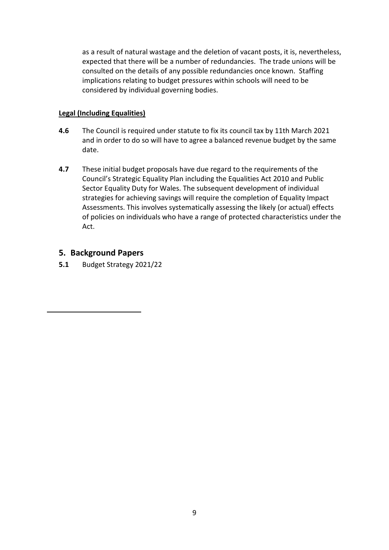as a result of natural wastage and the deletion of vacant posts, it is, nevertheless, expected that there will be a number of redundancies. The trade unions will be consulted on the details of any possible redundancies once known. Staffing implications relating to budget pressures within schools will need to be considered by individual governing bodies.

## **Legal (Including Equalities)**

- **4.6** The Council is required under statute to fix its council tax by 11th March 2021 and in order to do so will have to agree a balanced revenue budget by the same date.
- **4.7** These initial budget proposals have due regard to the requirements of the Council's Strategic Equality Plan including the Equalities Act 2010 and Public Sector Equality Duty for Wales. The subsequent development of individual strategies for achieving savings will require the completion of Equality Impact Assessments. This involves systematically assessing the likely (or actual) effects of policies on individuals who have a range of protected characteristics under the Act.

# **5. Background Papers**

<span id="page-8-0"></span>-

**5.1** Budget Strategy 2021/22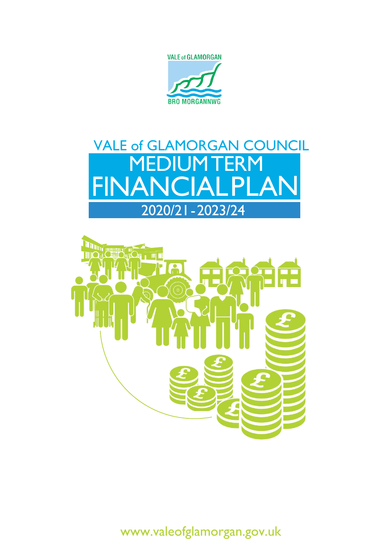





[www.valeofglamorgan.gov.uk](http://www.valeofglamorgan.gov.uk/)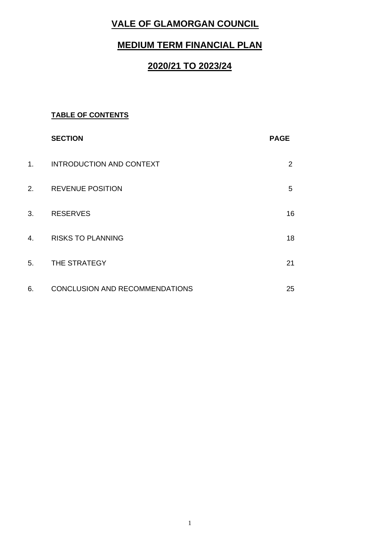# **VALE OF GLAMORGAN COUNCIL**

# **MEDIUM TERM FINANCIAL PLAN**

# **2020/21 TO 2023/24**

# **TABLE OF CONTENTS**

|                | <b>SECTION</b>                  | <b>PAGE</b>    |
|----------------|---------------------------------|----------------|
| 1 <sub>1</sub> | <b>INTRODUCTION AND CONTEXT</b> | $\overline{2}$ |
| 2.             | <b>REVENUE POSITION</b>         | 5              |
| 3.             | <b>RESERVES</b>                 | 16             |
| 4.             | <b>RISKS TO PLANNING</b>        | 18             |
| 5.             | THE STRATEGY                    | 21             |
| 6.             | CONCLUSION AND RECOMMENDATIONS  | 25             |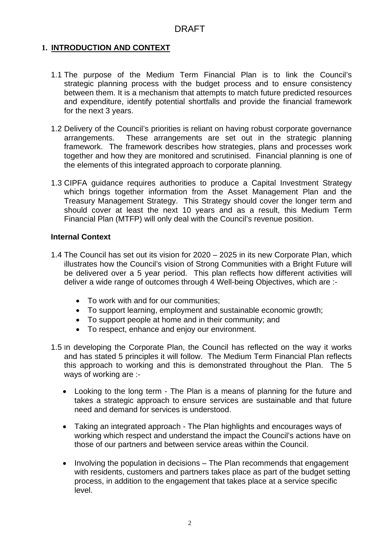## **1. INTRODUCTION AND CONTEXT**

- 1.1 The purpose of the Medium Term Financial Plan is to link the Council's strategic planning process with the budget process and to ensure consistency between them. It is a mechanism that attempts to match future predicted resources and expenditure, identify potential shortfalls and provide the financial framework for the next 3 years.
- 1.2 Delivery of the Council's priorities is reliant on having robust corporate governance arrangements. These arrangements are set out in the strategic planning framework. The framework describes how strategies, plans and processes work together and how they are monitored and scrutinised. Financial planning is one of the elements of this integrated approach to corporate planning.
- 1.3 CIPFA guidance requires authorities to produce a Capital Investment Strategy which brings together information from the Asset Management Plan and the Treasury Management Strategy. This Strategy should cover the longer term and should cover at least the next 10 years and as a result, this Medium Term Financial Plan (MTFP) will only deal with the Council's revenue position.

### **Internal Context**

- 1.4 The Council has set out its vision for 2020 2025 in its new Corporate Plan, which illustrates how the Council's vision of Strong Communities with a Bright Future will be delivered over a 5 year period. This plan reflects how different activities will deliver a wide range of outcomes through 4 Well-being Objectives, which are :-
	- To work with and for our communities;
	- To support learning, employment and sustainable economic growth;
	- To support people at home and in their community; and
	- To respect, enhance and enjoy our environment.
- 1.5 In developing the Corporate Plan, the Council has reflected on the way it works and has stated 5 principles it will follow. The Medium Term Financial Plan reflects this approach to working and this is demonstrated throughout the Plan. The 5 ways of working are :-
	- Looking to the long term The Plan is a means of planning for the future and takes a strategic approach to ensure services are sustainable and that future need and demand for services is understood.
	- Taking an integrated approach The Plan highlights and encourages ways of working which respect and understand the impact the Council's actions have on those of our partners and between service areas within the Council.
	- Involving the population in decisions The Plan recommends that engagement with residents, customers and partners takes place as part of the budget setting process, in addition to the engagement that takes place at a service specific level.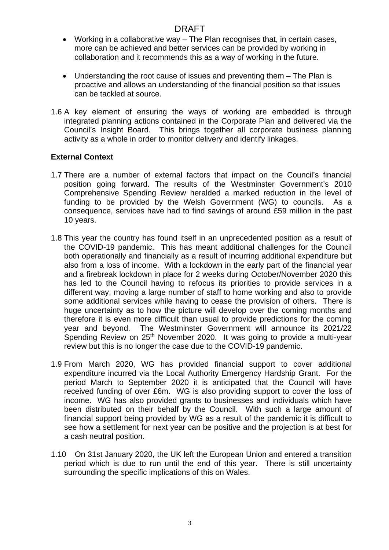- Working in a collaborative way The Plan recognises that, in certain cases, more can be achieved and better services can be provided by working in collaboration and it recommends this as a way of working in the future.
- Understanding the root cause of issues and preventing them The Plan is proactive and allows an understanding of the financial position so that issues can be tackled at source.
- 1.6 A key element of ensuring the ways of working are embedded is through integrated planning actions contained in the Corporate Plan and delivered via the Council's Insight Board. This brings together all corporate business planning activity as a whole in order to monitor delivery and identify linkages.

## **External Context**

- 1.7 There are a number of external factors that impact on the Council's financial position going forward. The results of the Westminster Government's 2010 Comprehensive Spending Review heralded a marked reduction in the level of funding to be provided by the Welsh Government (WG) to councils. As a consequence, services have had to find savings of around £59 million in the past 10 years.
- 1.8 This year the country has found itself in an unprecedented position as a result of the COVID-19 pandemic. This has meant additional challenges for the Council both operationally and financially as a result of incurring additional expenditure but also from a loss of income. With a lockdown in the early part of the financial year and a firebreak lockdown in place for 2 weeks during October/November 2020 this has led to the Council having to refocus its priorities to provide services in a different way, moving a large number of staff to home working and also to provide some additional services while having to cease the provision of others. There is huge uncertainty as to how the picture will develop over the coming months and therefore it is even more difficult than usual to provide predictions for the coming year and beyond. The Westminster Government will announce its 2021/22 Spending Review on 25<sup>th</sup> November 2020. It was going to provide a multi-year review but this is no longer the case due to the COVID-19 pandemic.
- 1.9 From March 2020, WG has provided financial support to cover additional expenditure incurred via the Local Authority Emergency Hardship Grant. For the period March to September 2020 it is anticipated that the Council will have received funding of over £6m. WG is also providing support to cover the loss of income. WG has also provided grants to businesses and individuals which have been distributed on their behalf by the Council. With such a large amount of financial support being provided by WG as a result of the pandemic it is difficult to see how a settlement for next year can be positive and the projection is at best for a cash neutral position.
- 1.10 On 31st January 2020, the UK left the European Union and entered a transition period which is due to run until the end of this year. There is still uncertainty surrounding the specific implications of this on Wales.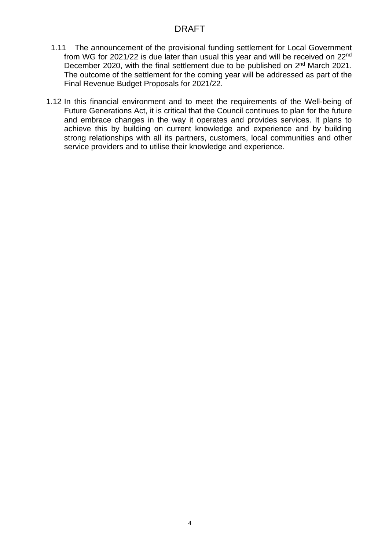- 1.11 The announcement of the provisional funding settlement for Local Government from WG for 2021/22 is due later than usual this year and will be received on 22nd December 2020, with the final settlement due to be published on 2<sup>nd</sup> March 2021. The outcome of the settlement for the coming year will be addressed as part of the Final Revenue Budget Proposals for 2021/22.
- 1.12 In this financial environment and to meet the requirements of the Well-being of Future Generations Act, it is critical that the Council continues to plan for the future and embrace changes in the way it operates and provides services. It plans to achieve this by building on current knowledge and experience and by building strong relationships with all its partners, customers, local communities and other service providers and to utilise their knowledge and experience.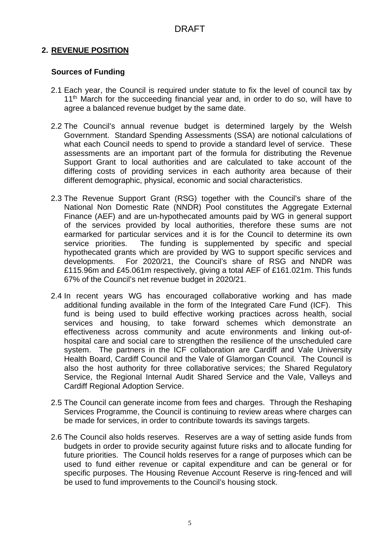# **2. REVENUE POSITION**

## **Sources of Funding**

- 2.1 Each year, the Council is required under statute to fix the level of council tax by 11<sup>th</sup> March for the succeeding financial year and, in order to do so, will have to agree a balanced revenue budget by the same date.
- 2.2 The Council's annual revenue budget is determined largely by the Welsh Government. Standard Spending Assessments (SSA) are notional calculations of what each Council needs to spend to provide a standard level of service. These assessments are an important part of the formula for distributing the Revenue Support Grant to local authorities and are calculated to take account of the differing costs of providing services in each authority area because of their different demographic, physical, economic and social characteristics.
- 2.3 The Revenue Support Grant (RSG) together with the Council's share of the National Non Domestic Rate (NNDR) Pool constitutes the Aggregate External Finance (AEF) and are un-hypothecated amounts paid by WG in general support of the services provided by local authorities, therefore these sums are not earmarked for particular services and it is for the Council to determine its own service priorities. The funding is supplemented by specific and special hypothecated grants which are provided by WG to support specific services and developments. For 2020/21, the Council's share of RSG and NNDR was £115.96m and £45.061m respectively, giving a total AEF of £161.021m. This funds 67% of the Council's net revenue budget in 2020/21.
- 2.4 In recent years WG has encouraged collaborative working and has made additional funding available in the form of the Integrated Care Fund (ICF). This fund is being used to build effective working practices across health, social services and housing, to take forward schemes which demonstrate an effectiveness across community and acute environments and linking out-ofhospital care and social care to strengthen the resilience of the unscheduled care system. The partners in the ICF collaboration are Cardiff and Vale University Health Board, Cardiff Council and the Vale of Glamorgan Council. The Council is also the host authority for three collaborative services; the Shared Regulatory Service, the Regional Internal Audit Shared Service and the Vale, Valleys and Cardiff Regional Adoption Service.
- 2.5 The Council can generate income from fees and charges. Through the Reshaping Services Programme, the Council is continuing to review areas where charges can be made for services, in order to contribute towards its savings targets.
- 2.6 The Council also holds reserves. Reserves are a way of setting aside funds from budgets in order to provide security against future risks and to allocate funding for future priorities. The Council holds reserves for a range of purposes which can be used to fund either revenue or capital expenditure and can be general or for specific purposes. The Housing Revenue Account Reserve is ring-fenced and will be used to fund improvements to the Council's housing stock.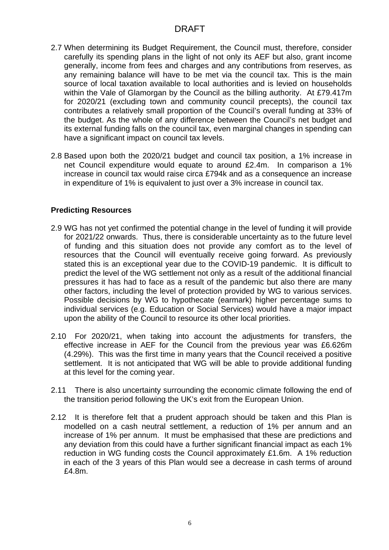- 2.7 When determining its Budget Requirement, the Council must, therefore, consider carefully its spending plans in the light of not only its AEF but also, grant income generally, income from fees and charges and any contributions from reserves, as any remaining balance will have to be met via the council tax. This is the main source of local taxation available to local authorities and is levied on households within the Vale of Glamorgan by the Council as the billing authority. At £79.417m for 2020/21 (excluding town and community council precepts), the council tax contributes a relatively small proportion of the Council's overall funding at 33% of the budget. As the whole of any difference between the Council's net budget and its external funding falls on the council tax, even marginal changes in spending can have a significant impact on council tax levels.
- 2.8 Based upon both the 2020/21 budget and council tax position, a 1% increase in net Council expenditure would equate to around £2.4m. In comparison a 1% increase in council tax would raise circa £794k and as a consequence an increase in expenditure of 1% is equivalent to just over a 3% increase in council tax.

### **Predicting Resources**

- 2.9 WG has not yet confirmed the potential change in the level of funding it will provide for 2021/22 onwards. Thus, there is considerable uncertainty as to the future level of funding and this situation does not provide any comfort as to the level of resources that the Council will eventually receive going forward. As previously stated this is an exceptional year due to the COVID-19 pandemic. It is difficult to predict the level of the WG settlement not only as a result of the additional financial pressures it has had to face as a result of the pandemic but also there are many other factors, including the level of protection provided by WG to various services. Possible decisions by WG to hypothecate (earmark) higher percentage sums to individual services (e.g. Education or Social Services) would have a major impact upon the ability of the Council to resource its other local priorities.
- 2.10 For 2020/21, when taking into account the adjustments for transfers, the effective increase in AEF for the Council from the previous year was £6.626m (4.29%). This was the first time in many years that the Council received a positive settlement. It is not anticipated that WG will be able to provide additional funding at this level for the coming year.
- 2.11 There is also uncertainty surrounding the economic climate following the end of the transition period following the UK's exit from the European Union.
- 2.12 It is therefore felt that a prudent approach should be taken and this Plan is modelled on a cash neutral settlement, a reduction of 1% per annum and an increase of 1% per annum. It must be emphasised that these are predictions and any deviation from this could have a further significant financial impact as each 1% reduction in WG funding costs the Council approximately £1.6m. A 1% reduction in each of the 3 years of this Plan would see a decrease in cash terms of around £4.8m.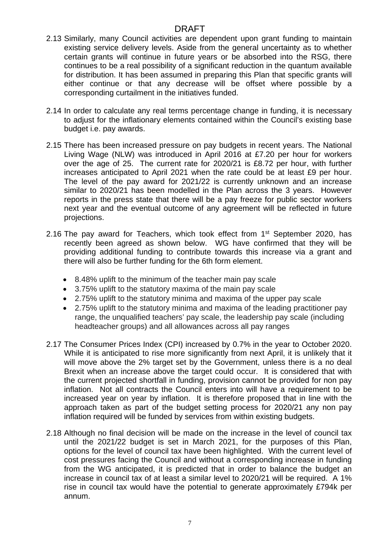- 2.13 Similarly, many Council activities are dependent upon grant funding to maintain existing service delivery levels. Aside from the general uncertainty as to whether certain grants will continue in future years or be absorbed into the RSG, there continues to be a real possibility of a significant reduction in the quantum available for distribution. It has been assumed in preparing this Plan that specific grants will either continue or that any decrease will be offset where possible by a corresponding curtailment in the initiatives funded.
- 2.14 In order to calculate any real terms percentage change in funding, it is necessary to adjust for the inflationary elements contained within the Council's existing base budget i.e. pay awards.
- 2.15 There has been increased pressure on pay budgets in recent years. The National Living Wage (NLW) was introduced in April 2016 at £7.20 per hour for workers over the age of 25. The current rate for 2020/21 is £8.72 per hour, with further increases anticipated to April 2021 when the rate could be at least £9 per hour. The level of the pay award for 2021/22 is currently unknown and an increase similar to 2020/21 has been modelled in the Plan across the 3 years. However reports in the press state that there will be a pay freeze for public sector workers next year and the eventual outcome of any agreement will be reflected in future projections.
- 2.16 The pay award for Teachers, which took effect from 1<sup>st</sup> September 2020, has recently been agreed as shown below. WG have confirmed that they will be providing additional funding to contribute towards this increase via a grant and there will also be further funding for the 6th form element.
	- 8.48% uplift to the minimum of the teacher main pay scale
	- 3.75% uplift to the statutory maxima of the main pay scale
	- 2.75% uplift to the statutory minima and maxima of the upper pay scale
	- 2.75% uplift to the statutory minima and maxima of the leading practitioner pay range, the unqualified teachers' pay scale, the leadership pay scale (including headteacher groups) and all allowances across all pay ranges
- 2.17 The Consumer Prices Index (CPI) increased by 0.7% in the year to October 2020. While it is anticipated to rise more significantly from next April, it is unlikely that it will move above the 2% target set by the Government, unless there is a no deal Brexit when an increase above the target could occur. It is considered that with the current projected shortfall in funding, provision cannot be provided for non pay inflation. Not all contracts the Council enters into will have a requirement to be increased year on year by inflation. It is therefore proposed that in line with the approach taken as part of the budget setting process for 2020/21 any non pay inflation required will be funded by services from within existing budgets.
- 2.18 Although no final decision will be made on the increase in the level of council tax until the 2021/22 budget is set in March 2021, for the purposes of this Plan, options for the level of council tax have been highlighted. With the current level of cost pressures facing the Council and without a corresponding increase in funding from the WG anticipated, it is predicted that in order to balance the budget an increase in council tax of at least a similar level to 2020/21 will be required. A 1% rise in council tax would have the potential to generate approximately £794k per annum.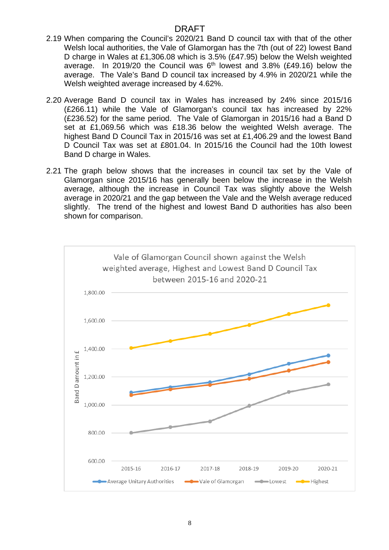- 2.19 When comparing the Council's 2020/21 Band D council tax with that of the other Welsh local authorities, the Vale of Glamorgan has the 7th (out of 22) lowest Band D charge in Wales at £1,306.08 which is 3.5% (£47.95) below the Welsh weighted average. In 2019/20 the Council was 6<sup>th</sup> lowest and 3.8% (£49.16) below the average. The Vale's Band D council tax increased by 4.9% in 2020/21 while the Welsh weighted average increased by 4.62%.
- 2.20 Average Band D council tax in Wales has increased by 24% since 2015/16 (£266.11) while the Vale of Glamorgan's council tax has increased by 22% (£236.52) for the same period. The Vale of Glamorgan in 2015/16 had a Band D set at £1,069.56 which was £18.36 below the weighted Welsh average. The highest Band D Council Tax in 2015/16 was set at £1,406.29 and the lowest Band D Council Tax was set at £801.04. In 2015/16 the Council had the 10th lowest Band D charge in Wales.
- 2.21 The graph below shows that the increases in council tax set by the Vale of Glamorgan since 2015/16 has generally been below the increase in the Welsh average, although the increase in Council Tax was slightly above the Welsh average in 2020/21 and the gap between the Vale and the Welsh average reduced slightly. The trend of the highest and lowest Band D authorities has also been shown for comparison.

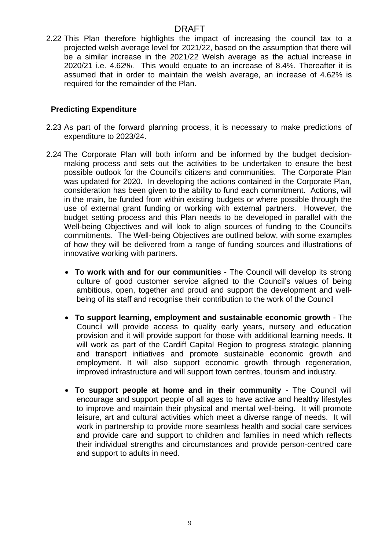2.22 This Plan therefore highlights the impact of increasing the council tax to a projected welsh average level for 2021/22, based on the assumption that there will be a similar increase in the 2021/22 Welsh average as the actual increase in 2020/21 i.e. 4.62%. This would equate to an increase of 8.4%. Thereafter it is assumed that in order to maintain the welsh average, an increase of 4.62% is required for the remainder of the Plan.

## **Predicting Expenditure**

- 2.23 As part of the forward planning process, it is necessary to make predictions of expenditure to 2023/24.
- 2.24 The Corporate Plan will both inform and be informed by the budget decisionmaking process and sets out the activities to be undertaken to ensure the best possible outlook for the Council's citizens and communities. The Corporate Plan was updated for 2020. In developing the actions contained in the Corporate Plan, consideration has been given to the ability to fund each commitment. Actions, will in the main, be funded from within existing budgets or where possible through the use of external grant funding or working with external partners. However, the budget setting process and this Plan needs to be developed in parallel with the Well-being Objectives and will look to align sources of funding to the Council's commitments. The Well-being Objectives are outlined below, with some examples of how they will be delivered from a range of funding sources and illustrations of innovative working with partners.
	- **To work with and for our communities**  The Council will develop its strong culture of good customer service aligned to the Council's values of being ambitious, open, together and proud and support the development and wellbeing of its staff and recognise their contribution to the work of the Council
	- **To support learning, employment and sustainable economic growth** The Council will provide access to quality early years, nursery and education provision and it will provide support for those with additional learning needs. It will work as part of the Cardiff Capital Region to progress strategic planning and transport initiatives and promote sustainable economic growth and employment. It will also support economic growth through regeneration, improved infrastructure and will support town centres, tourism and industry.
	- **To support people at home and in their community** The Council will encourage and support people of all ages to have active and healthy lifestyles to improve and maintain their physical and mental well-being. It will promote leisure, art and cultural activities which meet a diverse range of needs. It will work in partnership to provide more seamless health and social care services and provide care and support to children and families in need which reflects their individual strengths and circumstances and provide person-centred care and support to adults in need.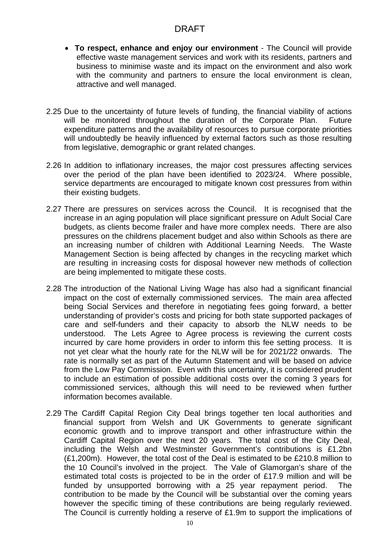- **To respect, enhance and enjoy our environment** The Council will provide effective waste management services and work with its residents, partners and business to minimise waste and its impact on the environment and also work with the community and partners to ensure the local environment is clean, attractive and well managed.
- 2.25 Due to the uncertainty of future levels of funding, the financial viability of actions will be monitored throughout the duration of the Corporate Plan. Future expenditure patterns and the availability of resources to pursue corporate priorities will undoubtedly be heavily influenced by external factors such as those resulting from legislative, demographic or grant related changes.
- 2.26 In addition to inflationary increases, the major cost pressures affecting services over the period of the plan have been identified to 2023/24. Where possible, service departments are encouraged to mitigate known cost pressures from within their existing budgets.
- 2.27 There are pressures on services across the Council. It is recognised that the increase in an aging population will place significant pressure on Adult Social Care budgets, as clients become frailer and have more complex needs. There are also pressures on the childrens placement budget and also within Schools as there are an increasing number of children with Additional Learning Needs. The Waste Management Section is being affected by changes in the recycling market which are resulting in increasing costs for disposal however new methods of collection are being implemented to mitigate these costs.
- 2.28 The introduction of the National Living Wage has also had a significant financial impact on the cost of externally commissioned services. The main area affected being Social Services and therefore in negotiating fees going forward, a better understanding of provider's costs and pricing for both state supported packages of care and self-funders and their capacity to absorb the NLW needs to be understood. The Lets Agree to Agree process is reviewing the current costs incurred by care home providers in order to inform this fee setting process. It is not yet clear what the hourly rate for the NLW will be for 2021/22 onwards. The rate is normally set as part of the Autumn Statement and will be based on advice from the Low Pay Commission. Even with this uncertainty, it is considered prudent to include an estimation of possible additional costs over the coming 3 years for commissioned services, although this will need to be reviewed when further information becomes available.
- 2.29 The Cardiff Capital Region City Deal brings together ten local authorities and financial support from Welsh and UK Governments to generate significant economic growth and to improve transport and other infrastructure within the Cardiff Capital Region over the next 20 years. The total cost of the City Deal, including the Welsh and Westminster Government's contributions is £1.2bn (£1,200m). However, the total cost of the Deal is estimated to be £210.8 million to the 10 Council's involved in the project. The Vale of Glamorgan's share of the estimated total costs is projected to be in the order of £17.9 million and will be funded by unsupported borrowing with a 25 year repayment period. The contribution to be made by the Council will be substantial over the coming years however the specific timing of these contributions are being regularly reviewed. The Council is currently holding a reserve of £1.9m to support the implications of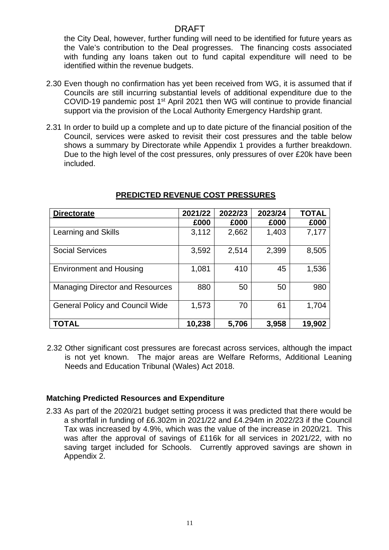the City Deal, however, further funding will need to be identified for future years as the Vale's contribution to the Deal progresses. The financing costs associated with funding any loans taken out to fund capital expenditure will need to be identified within the revenue budgets.

- 2.30 Even though no confirmation has yet been received from WG, it is assumed that if Councils are still incurring substantial levels of additional expenditure due to the COVID-19 pandemic post 1st April 2021 then WG will continue to provide financial support via the provision of the Local Authority Emergency Hardship grant.
- 2.31 In order to build up a complete and up to date picture of the financial position of the Council, services were asked to revisit their cost pressures and the table below shows a summary by Directorate while Appendix 1 provides a further breakdown. Due to the high level of the cost pressures, only pressures of over £20k have been included.

| <b>Directorate</b>                     | 2021/22 | 2022/23 | 2023/24 | <b>TOTAL</b> |
|----------------------------------------|---------|---------|---------|--------------|
|                                        | £000    | £000    | £000    | £000         |
| Learning and Skills                    | 3,112   | 2,662   | 1,403   | 7,177        |
| <b>Social Services</b>                 | 3,592   | 2,514   | 2,399   | 8,505        |
| <b>Environment and Housing</b>         | 1,081   | 410     | 45      | 1,536        |
| <b>Managing Director and Resources</b> | 880     | 50      | 50      | 980          |
| <b>General Policy and Council Wide</b> | 1,573   | 70      | 61      | 1,704        |
| <b>TOTAL</b>                           | 10,238  | 5,706   | 3,958   | 19,902       |

## **PREDICTED REVENUE COST PRESSURES**

2.32 Other significant cost pressures are forecast across services, although the impact is not yet known. The major areas are Welfare Reforms, Additional Leaning Needs and Education Tribunal (Wales) Act 2018.

### **Matching Predicted Resources and Expenditure**

2.33 As part of the 2020/21 budget setting process it was predicted that there would be a shortfall in funding of £6.302m in 2021/22 and £4.294m in 2022/23 if the Council Tax was increased by 4.9%, which was the value of the increase in 2020/21. This was after the approval of savings of £116k for all services in 2021/22, with no saving target included for Schools. Currently approved savings are shown in Appendix 2.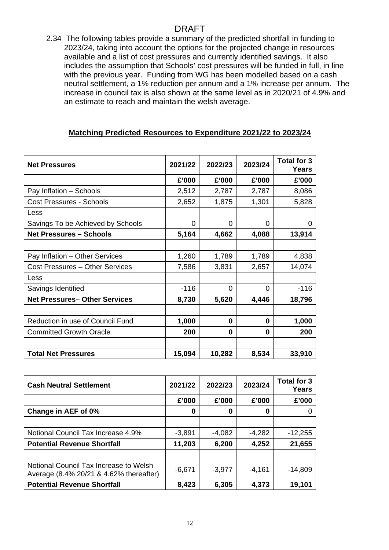2.34 The following tables provide a summary of the predicted shortfall in funding to 2023/24, taking into account the options for the projected change in resources available and a list of cost pressures and currently identified savings. It also includes the assumption that Schools' cost pressures will be funded in full, in line with the previous year. Funding from WG has been modelled based on a cash neutral settlement, a 1% reduction per annum and a 1% increase per annum. The increase in council tax is also shown at the same level as in 2020/21 of 4.9% and an estimate to reach and maintain the welsh average.

## **Matching Predicted Resources to Expenditure 2021/22 to 2023/24**

| <b>Net Pressures</b>                | 2021/22  | 2022/23      | 2023/24  | <b>Total for 3</b><br><b>Years</b> |
|-------------------------------------|----------|--------------|----------|------------------------------------|
|                                     | £'000    | £'000        | £'000    | £'000                              |
| Pay Inflation - Schools             | 2,512    | 2,787        | 2,787    | 8,086                              |
| <b>Cost Pressures - Schools</b>     | 2,652    | 1,875        | 1,301    | 5,828                              |
| Less                                |          |              |          |                                    |
| Savings To be Achieved by Schools   | $\Omega$ | $\Omega$     | $\Omega$ | 0                                  |
| <b>Net Pressures - Schools</b>      | 5,164    | 4,662        | 4,088    | 13,914                             |
|                                     |          |              |          |                                    |
| Pay Inflation - Other Services      | 1,260    | 1,789        | 1,789    | 4,838                              |
| Cost Pressures - Other Services     | 7,586    | 3,831        | 2,657    | 14,074                             |
| Less                                |          |              |          |                                    |
| Savings Identified                  | $-116$   | $\Omega$     | $\Omega$ | $-116$                             |
| <b>Net Pressures-Other Services</b> | 8,730    | 5,620        | 4,446    | 18,796                             |
|                                     |          |              |          |                                    |
| Reduction in use of Council Fund    | 1,000    | $\mathbf{0}$ | 0        | 1,000                              |
| <b>Committed Growth Oracle</b>      | 200      | 0            | 0        | 200                                |
|                                     |          |              |          |                                    |
| <b>Total Net Pressures</b>          | 15,094   | 10,282       | 8,534    | 33,910                             |

| <b>Cash Neutral Settlement</b>                                                    | 2021/22  | 2022/23  | 2023/24  | Total for 3<br><b>Years</b> |
|-----------------------------------------------------------------------------------|----------|----------|----------|-----------------------------|
|                                                                                   | £'000    | £'000    | £'000    | £'000                       |
| Change in AEF of 0%                                                               | 0        | 0        | 0        |                             |
|                                                                                   |          |          |          |                             |
| Notional Council Tax Increase 4.9%                                                | $-3,891$ | $-4,082$ | $-4,282$ | $-12,255$                   |
| <b>Potential Revenue Shortfall</b>                                                | 11,203   | 6,200    | 4,252    | 21,655                      |
|                                                                                   |          |          |          |                             |
| Notional Council Tax Increase to Welsh<br>Average (8.4% 20/21 & 4.62% thereafter) | $-6.671$ | $-3,977$ | $-4,161$ | $-14,809$                   |
| <b>Potential Revenue Shortfall</b>                                                | 8,423    | 6,305    | 4,373    | 19,101                      |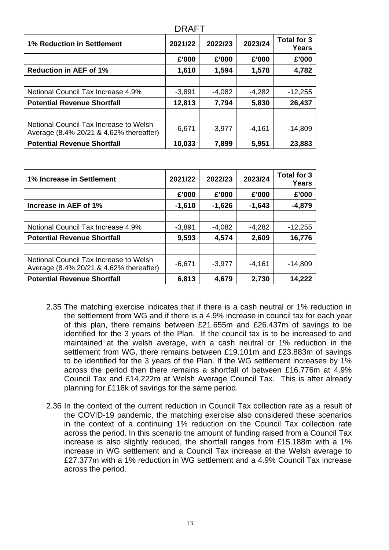| <b>DRAFT</b>                                                                      |          |          |          |                             |  |
|-----------------------------------------------------------------------------------|----------|----------|----------|-----------------------------|--|
| <b>1% Reduction in Settlement</b>                                                 | 2021/22  | 2022/23  | 2023/24  | Total for 3<br><b>Years</b> |  |
|                                                                                   | £'000    | £'000    | £'000    | £'000                       |  |
| <b>Reduction in AEF of 1%</b>                                                     | 1,610    | 1,594    | 1,578    | 4,782                       |  |
|                                                                                   |          |          |          |                             |  |
| Notional Council Tax Increase 4.9%                                                | $-3,891$ | $-4,082$ | $-4,282$ | $-12,255$                   |  |
| <b>Potential Revenue Shortfall</b>                                                | 12,813   | 7,794    | 5,830    | 26,437                      |  |
|                                                                                   |          |          |          |                             |  |
| Notional Council Tax Increase to Welsh<br>Average (8.4% 20/21 & 4.62% thereafter) | $-6,671$ | $-3,977$ | $-4,161$ | $-14,809$                   |  |
| <b>Potential Revenue Shortfall</b>                                                | 10,033   | 7,899    | 5,951    | 23,883                      |  |

| 1% Increase in Settlement                                                         | 2021/22  | 2022/23  | 2023/24  | Total for 3<br>Years |
|-----------------------------------------------------------------------------------|----------|----------|----------|----------------------|
|                                                                                   | £'000    | £'000    | £'000    | £'000                |
| Increase in AEF of 1%                                                             | $-1,610$ | $-1,626$ | $-1,643$ | $-4,879$             |
|                                                                                   |          |          |          |                      |
| Notional Council Tax Increase 4.9%                                                | $-3,891$ | $-4,082$ | $-4,282$ | $-12,255$            |
| <b>Potential Revenue Shortfall</b>                                                | 9,593    | 4,574    | 2,609    | 16,776               |
|                                                                                   |          |          |          |                      |
| Notional Council Tax Increase to Welsh<br>Average (8.4% 20/21 & 4.62% thereafter) | $-6,671$ | $-3,977$ | $-4,161$ | $-14,809$            |
| <b>Potential Revenue Shortfall</b>                                                | 6,813    | 4,679    | 2,730    | 14,222               |

- 2.35 The matching exercise indicates that if there is a cash neutral or 1% reduction in the settlement from WG and if there is a 4.9% increase in council tax for each year of this plan, there remains between £21.655m and £26.437m of savings to be identified for the 3 years of the Plan. If the council tax is to be increased to and maintained at the welsh average, with a cash neutral or 1% reduction in the settlement from WG, there remains between £19.101m and £23.883m of savings to be identified for the 3 years of the Plan. If the WG settlement increases by 1% across the period then there remains a shortfall of between £16.776m at 4.9% Council Tax and £14.222m at Welsh Average Council Tax. This is after already planning for £116k of savings for the same period.
- 2.36 In the context of the current reduction in Council Tax collection rate as a result of the COVID-19 pandemic, the matching exercise also considered these scenarios in the context of a continuing 1% reduction on the Council Tax collection rate across the period. In this scenario the amount of funding raised from a Council Tax increase is also slightly reduced, the shortfall ranges from £15.188m with a 1% increase in WG settlement and a Council Tax increase at the Welsh average to £27.377m with a 1% reduction in WG settlement and a 4.9% Council Tax increase across the period.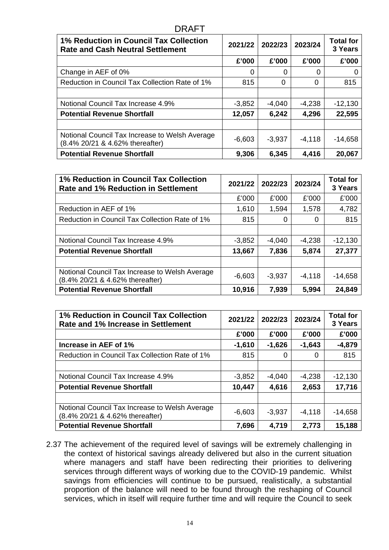| <b>DRAFT</b>                                                                             |          |          |          |                             |
|------------------------------------------------------------------------------------------|----------|----------|----------|-----------------------------|
| <b>1% Reduction in Council Tax Collection</b><br><b>Rate and Cash Neutral Settlement</b> | 2021/22  | 2022/23  | 2023/24  | <b>Total for</b><br>3 Years |
|                                                                                          | £'000    | £'000    | £'000    | £'000                       |
| Change in AEF of 0%                                                                      | 0        | 0        | 0        |                             |
| Reduction in Council Tax Collection Rate of 1%                                           | 815      | $\Omega$ | $\Omega$ | 815                         |
|                                                                                          |          |          |          |                             |
| Notional Council Tax Increase 4.9%                                                       | $-3,852$ | $-4,040$ | $-4,238$ | $-12,130$                   |
| <b>Potential Revenue Shortfall</b>                                                       | 12,057   | 6,242    | 4,296    | 22,595                      |
|                                                                                          |          |          |          |                             |
| Notional Council Tax Increase to Welsh Average<br>(8.4% 20/21 & 4.62% thereafter)        | $-6,603$ | $-3,937$ | $-4,118$ | $-14,658$                   |
| <b>Potential Revenue Shortfall</b>                                                       | 9,306    | 6,345    | 4,416    | 20,067                      |

| 1% Reduction in Council Tax Collection<br><b>Rate and 1% Reduction in Settlement</b> | 2021/22  | 2022/23  | 2023/24  | <b>Total for</b><br>3 Years |
|--------------------------------------------------------------------------------------|----------|----------|----------|-----------------------------|
|                                                                                      | £'000    | £'000    | £'000    | £'000                       |
| Reduction in AEF of 1%                                                               | 1,610    | 1,594    | 1,578    | 4,782                       |
| Reduction in Council Tax Collection Rate of 1%                                       | 815      | $\Omega$ | 0        | 815                         |
|                                                                                      |          |          |          |                             |
| Notional Council Tax Increase 4.9%                                                   | $-3,852$ | $-4,040$ | $-4,238$ | $-12,130$                   |
| <b>Potential Revenue Shortfall</b>                                                   | 13,667   | 7,836    | 5,874    | 27,377                      |
|                                                                                      |          |          |          |                             |
| Notional Council Tax Increase to Welsh Average<br>(8.4% 20/21 & 4.62% thereafter)    | $-6,603$ | $-3,937$ | $-4,118$ | $-14,658$                   |
| <b>Potential Revenue Shortfall</b>                                                   | 10,916   | 7,939    | 5,994    | 24,849                      |

| 1% Reduction in Council Tax Collection<br>Rate and 1% Increase in Settlement      | 2021/22  | 2022/23  | 2023/24  | <b>Total for</b><br>3 Years |
|-----------------------------------------------------------------------------------|----------|----------|----------|-----------------------------|
|                                                                                   | £'000    | £'000    | £'000    | £'000                       |
| Increase in AEF of 1%                                                             | $-1,610$ | $-1,626$ | $-1,643$ | $-4,879$                    |
| Reduction in Council Tax Collection Rate of 1%                                    | 815      | 0        | 0        | 815                         |
|                                                                                   |          |          |          |                             |
| Notional Council Tax Increase 4.9%                                                | $-3,852$ | $-4,040$ | $-4,238$ | $-12,130$                   |
| <b>Potential Revenue Shortfall</b>                                                | 10,447   | 4,616    | 2,653    | 17,716                      |
|                                                                                   |          |          |          |                             |
| Notional Council Tax Increase to Welsh Average<br>(8.4% 20/21 & 4.62% thereafter) | $-6,603$ | $-3,937$ | $-4,118$ | $-14,658$                   |
| <b>Potential Revenue Shortfall</b>                                                | 7,696    | 4,719    | 2,773    | 15,188                      |

2.37 The achievement of the required level of savings will be extremely challenging in the context of historical savings already delivered but also in the current situation where managers and staff have been redirecting their priorities to delivering services through different ways of working due to the COVID-19 pandemic. Whilst savings from efficiencies will continue to be pursued, realistically, a substantial proportion of the balance will need to be found through the reshaping of Council services, which in itself will require further time and will require the Council to seek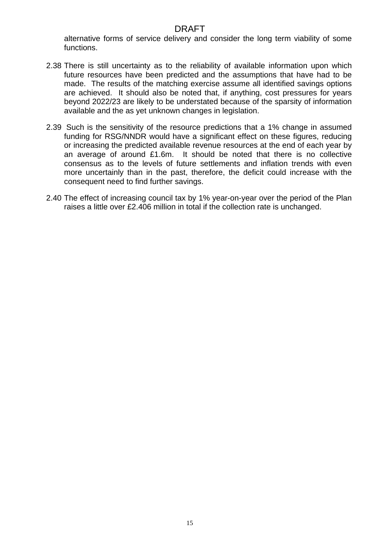alternative forms of service delivery and consider the long term viability of some functions.

- 2.38 There is still uncertainty as to the reliability of available information upon which future resources have been predicted and the assumptions that have had to be made. The results of the matching exercise assume all identified savings options are achieved. It should also be noted that, if anything, cost pressures for years beyond 2022/23 are likely to be understated because of the sparsity of information available and the as yet unknown changes in legislation.
- 2.39 Such is the sensitivity of the resource predictions that a 1% change in assumed funding for RSG/NNDR would have a significant effect on these figures, reducing or increasing the predicted available revenue resources at the end of each year by an average of around £1.6m. It should be noted that there is no collective consensus as to the levels of future settlements and inflation trends with even more uncertainly than in the past, therefore, the deficit could increase with the consequent need to find further savings.
- 2.40 The effect of increasing council tax by 1% year-on-year over the period of the Plan raises a little over £2.406 million in total if the collection rate is unchanged.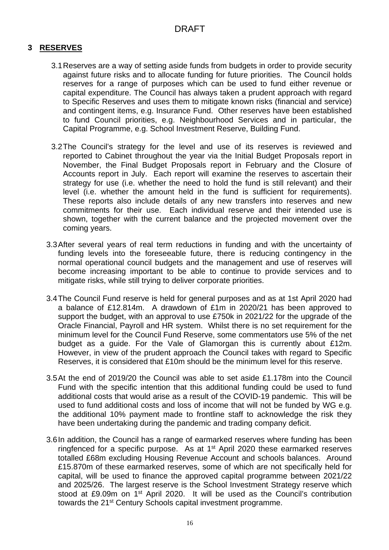# **3 RESERVES**

- 3.1Reserves are a way of setting aside funds from budgets in order to provide security against future risks and to allocate funding for future priorities. The Council holds reserves for a range of purposes which can be used to fund either revenue or capital expenditure. The Council has always taken a prudent approach with regard to Specific Reserves and uses them to mitigate known risks (financial and service) and contingent items, e.g. Insurance Fund. Other reserves have been established to fund Council priorities, e.g. Neighbourhood Services and in particular, the Capital Programme, e.g. School Investment Reserve, Building Fund.
- 3.2The Council's strategy for the level and use of its reserves is reviewed and reported to Cabinet throughout the year via the Initial Budget Proposals report in November, the Final Budget Proposals report in February and the Closure of Accounts report in July. Each report will examine the reserves to ascertain their strategy for use (i.e. whether the need to hold the fund is still relevant) and their level (i.e. whether the amount held in the fund is sufficient for requirements). These reports also include details of any new transfers into reserves and new commitments for their use. Each individual reserve and their intended use is shown, together with the current balance and the projected movement over the coming years.
- 3.3After several years of real term reductions in funding and with the uncertainty of funding levels into the foreseeable future, there is reducing contingency in the normal operational council budgets and the management and use of reserves will become increasing important to be able to continue to provide services and to mitigate risks, while still trying to deliver corporate priorities.
- 3.4The Council Fund reserve is held for general purposes and as at 1st April 2020 had a balance of £12.814m. A drawdown of £1m in 2020/21 has been approved to support the budget, with an approval to use £750k in 2021/22 for the upgrade of the Oracle Financial, Payroll and HR system. Whilst there is no set requirement for the minimum level for the Council Fund Reserve, some commentators use 5% of the net budget as a guide. For the Vale of Glamorgan this is currently about £12m. However, in view of the prudent approach the Council takes with regard to Specific Reserves, it is considered that £10m should be the minimum level for this reserve.
- 3.5At the end of 2019/20 the Council was able to set aside £1.178m into the Council Fund with the specific intention that this additional funding could be used to fund additional costs that would arise as a result of the COVID-19 pandemic. This will be used to fund additional costs and loss of income that will not be funded by WG e.g. the additional 10% payment made to frontline staff to acknowledge the risk they have been undertaking during the pandemic and trading company deficit.
- 3.6In addition, the Council has a range of earmarked reserves where funding has been ringfenced for a specific purpose. As at  $1<sup>st</sup>$  April 2020 these earmarked reserves totalled £68m excluding Housing Revenue Account and schools balances. Around £15.870m of these earmarked reserves, some of which are not specifically held for capital, will be used to finance the approved capital programme between 2021/22 and 2025/26. The largest reserve is the School Investment Strategy reserve which stood at £9.09m on 1<sup>st</sup> April 2020. It will be used as the Council's contribution towards the 21<sup>st</sup> Century Schools capital investment programme.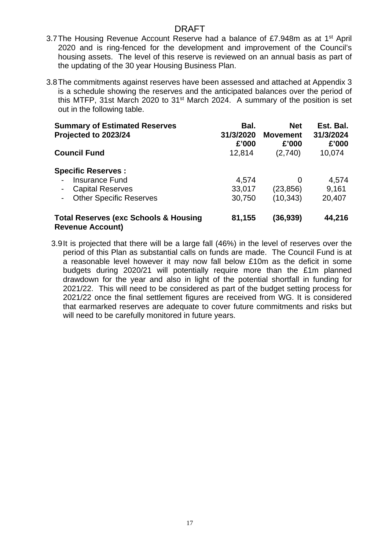- 3.7The Housing Revenue Account Reserve had a balance of £7.948m as at 1st April 2020 and is ring-fenced for the development and improvement of the Council's housing assets. The level of this reserve is reviewed on an annual basis as part of the updating of the 30 year Housing Business Plan.
- 3.8The commitments against reserves have been assessed and attached at Appendix 3 is a schedule showing the reserves and the anticipated balances over the period of this MTFP, 31st March 2020 to 31<sup>st</sup> March 2024. A summary of the position is set out in the following table.

| <b>Summary of Estimated Reserves</b>                                        | Bal.      | <b>Net</b>      | Est. Bal. |
|-----------------------------------------------------------------------------|-----------|-----------------|-----------|
| Projected to 2023/24                                                        | 31/3/2020 | <b>Movement</b> | 31/3/2024 |
|                                                                             | £'000     | £'000           | £'000     |
| <b>Council Fund</b>                                                         | 12,814    | (2,740)         | 10,074    |
| <b>Specific Reserves:</b>                                                   |           |                 |           |
| <b>Insurance Fund</b>                                                       | 4,574     | 0               | 4,574     |
| <b>Capital Reserves</b>                                                     | 33,017    | (23, 856)       | 9.161     |
| <b>Other Specific Reserves</b>                                              | 30,750    | (10, 343)       | 20,407    |
| <b>Total Reserves (exc Schools &amp; Housing</b><br><b>Revenue Account)</b> | 81,155    | (36,939)        | 44,216    |

3.9It is projected that there will be a large fall (46%) in the level of reserves over the period of this Plan as substantial calls on funds are made. The Council Fund is at a reasonable level however it may now fall below £10m as the deficit in some budgets during 2020/21 will potentially require more than the £1m planned drawdown for the year and also in light of the potential shortfall in funding for 2021/22. This will need to be considered as part of the budget setting process for 2021/22 once the final settlement figures are received from WG. It is considered that earmarked reserves are adequate to cover future commitments and risks but will need to be carefully monitored in future years.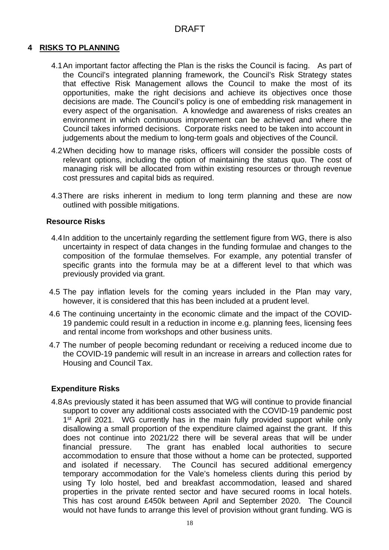### **4 RISKS TO PLANNING**

- 4.1An important factor affecting the Plan is the risks the Council is facing. As part of the Council's integrated planning framework, the Council's Risk Strategy states that effective Risk Management allows the Council to make the most of its opportunities, make the right decisions and achieve its objectives once those decisions are made. The Council's policy is one of embedding risk management in every aspect of the organisation. A knowledge and awareness of risks creates an environment in which continuous improvement can be achieved and where the Council takes informed decisions. Corporate risks need to be taken into account in judgements about the medium to long-term goals and objectives of the Council.
- 4.2When deciding how to manage risks, officers will consider the possible costs of relevant options, including the option of maintaining the status quo. The cost of managing risk will be allocated from within existing resources or through revenue cost pressures and capital bids as required.
- 4.3There are risks inherent in medium to long term planning and these are now outlined with possible mitigations.

#### **Resource Risks**

- 4.4In addition to the uncertainly regarding the settlement figure from WG, there is also uncertainty in respect of data changes in the funding formulae and changes to the composition of the formulae themselves. For example, any potential transfer of specific grants into the formula may be at a different level to that which was previously provided via grant.
- 4.5 The pay inflation levels for the coming years included in the Plan may vary, however, it is considered that this has been included at a prudent level.
- 4.6 The continuing uncertainty in the economic climate and the impact of the COVID-19 pandemic could result in a reduction in income e.g. planning fees, licensing fees and rental income from workshops and other business units.
- 4.7 The number of people becoming redundant or receiving a reduced income due to the COVID-19 pandemic will result in an increase in arrears and collection rates for Housing and Council Tax.

### **Expenditure Risks**

4.8As previously stated it has been assumed that WG will continue to provide financial support to cover any additional costs associated with the COVID-19 pandemic post 1<sup>st</sup> April 2021. WG currently has in the main fully provided support while only disallowing a small proportion of the expenditure claimed against the grant. If this does not continue into 2021/22 there will be several areas that will be under financial pressure. The grant has enabled local authorities to secure accommodation to ensure that those without a home can be protected, supported and isolated if necessary. The Council has secured additional emergency temporary accommodation for the Vale's homeless clients during this period by using Ty Iolo hostel, bed and breakfast accommodation, leased and shared properties in the private rented sector and have secured rooms in local hotels. This has cost around £450k between April and September 2020. The Council would not have funds to arrange this level of provision without grant funding. WG is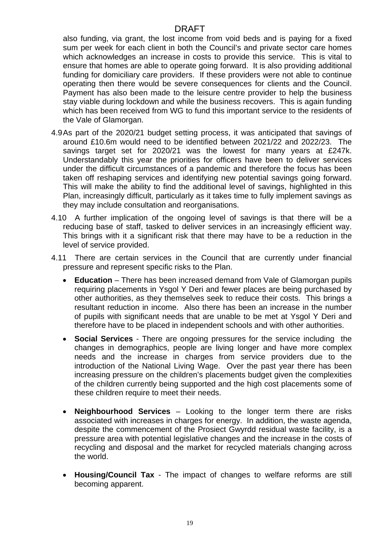also funding, via grant, the lost income from void beds and is paying for a fixed sum per week for each client in both the Council's and private sector care homes which acknowledges an increase in costs to provide this service. This is vital to ensure that homes are able to operate going forward. It is also providing additional funding for domiciliary care providers. If these providers were not able to continue operating then there would be severe consequences for clients and the Council. Payment has also been made to the leisure centre provider to help the business stay viable during lockdown and while the business recovers. This is again funding which has been received from WG to fund this important service to the residents of the Vale of Glamorgan.

- 4.9As part of the 2020/21 budget setting process, it was anticipated that savings of around £10.6m would need to be identified between 2021/22 and 2022/23. The savings target set for 2020/21 was the lowest for many years at £247k. Understandably this year the priorities for officers have been to deliver services under the difficult circumstances of a pandemic and therefore the focus has been taken off reshaping services and identifying new potential savings going forward. This will make the ability to find the additional level of savings, highlighted in this Plan, increasingly difficult, particularly as it takes time to fully implement savings as they may include consultation and reorganisations.
- 4.10 A further implication of the ongoing level of savings is that there will be a reducing base of staff, tasked to deliver services in an increasingly efficient way. This brings with it a significant risk that there may have to be a reduction in the level of service provided.
- 4.11 There are certain services in the Council that are currently under financial pressure and represent specific risks to the Plan.
	- **Education** There has been increased demand from Vale of Glamorgan pupils requiring placements in Ysgol Y Deri and fewer places are being purchased by other authorities, as they themselves seek to reduce their costs. This brings a resultant reduction in income. Also there has been an increase in the number of pupils with significant needs that are unable to be met at Ysgol Y Deri and therefore have to be placed in independent schools and with other authorities.
	- **Social Services** There are ongoing pressures for the service including the changes in demographics, people are living longer and have more complex needs and the increase in charges from service providers due to the introduction of the National Living Wage. Over the past year there has been increasing pressure on the children's placements budget given the complexities of the children currently being supported and the high cost placements some of these children require to meet their needs.
	- **Neighbourhood Services** Looking to the longer term there are risks associated with increases in charges for energy. In addition, the waste agenda, despite the commencement of the Prosiect Gwyrdd residual waste facility, is a pressure area with potential legislative changes and the increase in the costs of recycling and disposal and the market for recycled materials changing across the world.
	- **Housing/Council Tax** The impact of changes to welfare reforms are still becoming apparent.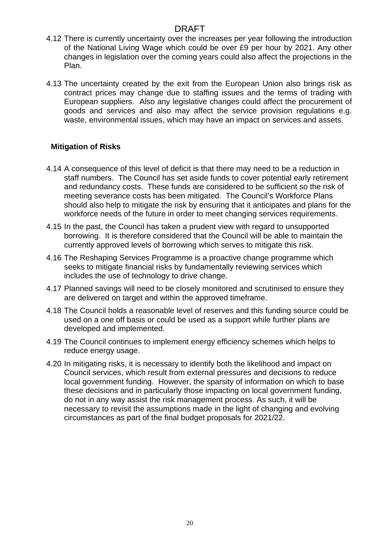- 4.12 There is currently uncertainty over the increases per year following the introduction of the National Living Wage which could be over £9 per hour by 2021. Any other changes in legislation over the coming years could also affect the projections in the Plan.
- 4.13 The uncertainty created by the exit from the European Union also brings risk as contract prices may change due to staffing issues and the terms of trading with European suppliers. Also any legislative changes could affect the procurement of goods and services and also may affect the service provision regulations e.g. waste, environmental issues, which may have an impact on services and assets.

## **Mitigation of Risks**

- 4.14 A consequence of this level of deficit is that there may need to be a reduction in staff numbers. The Council has set aside funds to cover potential early retirement and redundancy costs. These funds are considered to be sufficient so the risk of meeting severance costs has been mitigated. The Council's Workforce Plans should also help to mitigate the risk by ensuring that it anticipates and plans for the workforce needs of the future in order to meet changing services requirements.
- 4.15 In the past, the Council has taken a prudent view with regard to unsupported borrowing. It is therefore considered that the Council will be able to maintain the currently approved levels of borrowing which serves to mitigate this risk.
- 4.16 The Reshaping Services Programme is a proactive change programme which seeks to mitigate financial risks by fundamentally reviewing services which includes the use of technology to drive change.
- 4.17 Planned savings will need to be closely monitored and scrutinised to ensure they are delivered on target and within the approved timeframe.
- 4.18 The Council holds a reasonable level of reserves and this funding source could be used on a one off basis or could be used as a support while further plans are developed and implemented.
- 4.19 The Council continues to implement energy efficiency schemes which helps to reduce energy usage.
- 4.20 In mitigating risks, it is necessary to identify both the likelihood and impact on Council services, which result from external pressures and decisions to reduce local government funding. However, the sparsity of information on which to base these decisions and in particularly those impacting on local government funding, do not in any way assist the risk management process. As such, it will be necessary to revisit the assumptions made in the light of changing and evolving circumstances as part of the final budget proposals for 2021/22.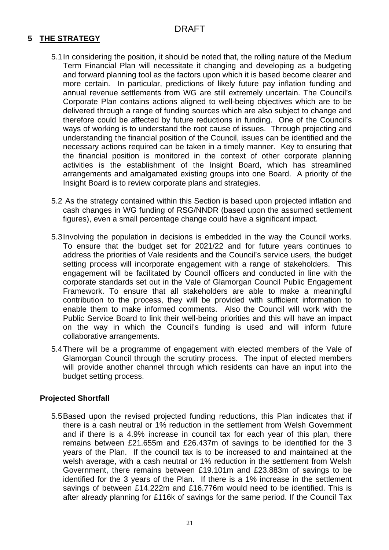# **5 THE STRATEGY**

- 5.1In considering the position, it should be noted that, the rolling nature of the Medium Term Financial Plan will necessitate it changing and developing as a budgeting and forward planning tool as the factors upon which it is based become clearer and more certain. In particular, predictions of likely future pay inflation funding and annual revenue settlements from WG are still extremely uncertain. The Council's Corporate Plan contains actions aligned to well-being objectives which are to be delivered through a range of funding sources which are also subject to change and therefore could be affected by future reductions in funding. One of the Council's ways of working is to understand the root cause of issues. Through projecting and understanding the financial position of the Council, issues can be identified and the necessary actions required can be taken in a timely manner. Key to ensuring that the financial position is monitored in the context of other corporate planning activities is the establishment of the Insight Board, which has streamlined arrangements and amalgamated existing groups into one Board. A priority of the Insight Board is to review corporate plans and strategies.
- 5.2 As the strategy contained within this Section is based upon projected inflation and cash changes in WG funding of RSG/NNDR (based upon the assumed settlement figures), even a small percentage change could have a significant impact.
- 5.3Involving the population in decisions is embedded in the way the Council works. To ensure that the budget set for 2021/22 and for future years continues to address the priorities of Vale residents and the Council's service users, the budget setting process will incorporate engagement with a range of stakeholders. This engagement will be facilitated by Council officers and conducted in line with the corporate standards set out in the Vale of Glamorgan Council Public Engagement Framework. To ensure that all stakeholders are able to make a meaningful contribution to the process, they will be provided with sufficient information to enable them to make informed comments. Also the Council will work with the Public Service Board to link their well-being priorities and this will have an impact on the way in which the Council's funding is used and will inform future collaborative arrangements.
- 5.4There will be a programme of engagement with elected members of the Vale of Glamorgan Council through the scrutiny process. The input of elected members will provide another channel through which residents can have an input into the budget setting process.

### **Projected Shortfall**

5.5Based upon the revised projected funding reductions, this Plan indicates that if there is a cash neutral or 1% reduction in the settlement from Welsh Government and if there is a 4.9% increase in council tax for each year of this plan, there remains between £21.655m and £26.437m of savings to be identified for the 3 years of the Plan. If the council tax is to be increased to and maintained at the welsh average, with a cash neutral or 1% reduction in the settlement from Welsh Government, there remains between £19.101m and £23.883m of savings to be identified for the 3 years of the Plan. If there is a 1% increase in the settlement savings of between £14.222m and £16.776m would need to be identified. This is after already planning for £116k of savings for the same period. If the Council Tax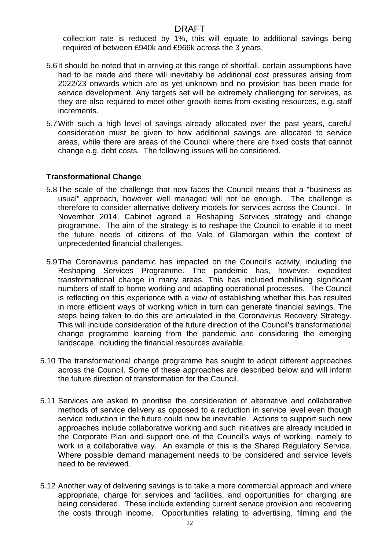collection rate is reduced by 1%, this will equate to additional savings being required of between £940k and £966k across the 3 years.

- 5.6It should be noted that in arriving at this range of shortfall, certain assumptions have had to be made and there will inevitably be additional cost pressures arising from 2022/23 onwards which are as yet unknown and no provision has been made for service development. Any targets set will be extremely challenging for services, as they are also required to meet other growth items from existing resources, e.g. staff increments.
- 5.7With such a high level of savings already allocated over the past years, careful consideration must be given to how additional savings are allocated to service areas, while there are areas of the Council where there are fixed costs that cannot change e.g. debt costs. The following issues will be considered.

## **Transformational Change**

- 5.8The scale of the challenge that now faces the Council means that a "business as usual" approach, however well managed will not be enough. The challenge is therefore to consider alternative delivery models for services across the Council. In November 2014, Cabinet agreed a Reshaping Services strategy and change programme. The aim of the strategy is to reshape the Council to enable it to meet the future needs of citizens of the Vale of Glamorgan within the context of unprecedented financial challenges.
- 5.9The Coronavirus pandemic has impacted on the Council's activity, including the Reshaping Services Programme. The pandemic has, however, expedited transformational change in many areas. This has included mobilising significant numbers of staff to home working and adapting operational processes. The Council is reflecting on this experience with a view of establishing whether this has resulted in more efficient ways of working which in turn can generate financial savings. The steps being taken to do this are articulated in the Coronavirus Recovery Strategy. This will include consideration of the future direction of the Council's transformational change programme learning from the pandemic and considering the emerging landscape, including the financial resources available.
- 5.10 The transformational change programme has sought to adopt different approaches across the Council. Some of these approaches are described below and will inform the future direction of transformation for the Council.
- 5.11 Services are asked to prioritise the consideration of alternative and collaborative methods of service delivery as opposed to a reduction in service level even though service reduction in the future could now be inevitable. Actions to support such new approaches include collaborative working and such initiatives are already included in the Corporate Plan and support one of the Council's ways of working, namely to work in a collaborative way. An example of this is the Shared Regulatory Service. Where possible demand management needs to be considered and service levels need to be reviewed.
- 5.12 Another way of delivering savings is to take a more commercial approach and where appropriate, charge for services and facilities, and opportunities for charging are being considered. These include extending current service provision and recovering the costs through income. Opportunities relating to advertising, filming and the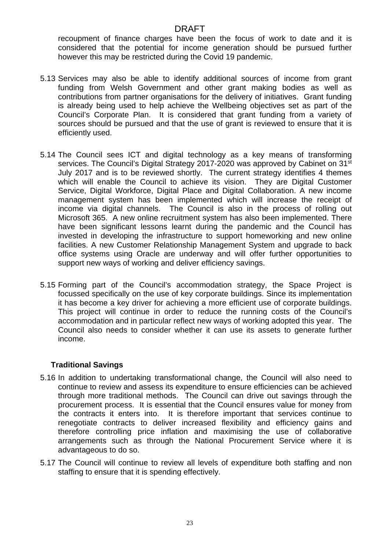recoupment of finance charges have been the focus of work to date and it is considered that the potential for income generation should be pursued further however this may be restricted during the Covid 19 pandemic.

- 5.13 Services may also be able to identify additional sources of income from grant funding from Welsh Government and other grant making bodies as well as contributions from partner organisations for the delivery of initiatives. Grant funding is already being used to help achieve the Wellbeing objectives set as part of the Council's Corporate Plan. It is considered that grant funding from a variety of sources should be pursued and that the use of grant is reviewed to ensure that it is efficiently used.
- 5.14 The Council sees ICT and digital technology as a key means of transforming services. The Council's Digital Strategy 2017-2020 was approved by Cabinet on 31<sup>st</sup> July 2017 and is to be reviewed shortly. The current strategy identifies 4 themes which will enable the Council to achieve its vision. They are Digital Customer Service, Digital Workforce, Digital Place and Digital Collaboration. A new income management system has been implemented which will increase the receipt of income via digital channels. The Council is also in the process of rolling out Microsoft 365. A new online recruitment system has also been implemented. There have been significant lessons learnt during the pandemic and the Council has invested in developing the infrastructure to support homeworking and new online facilities. A new Customer Relationship Management System and upgrade to back office systems using Oracle are underway and will offer further opportunities to support new ways of working and deliver efficiency savings.
- 5.15 Forming part of the Council's accommodation strategy, the Space Project is focussed specifically on the use of key corporate buildings. Since its implementation it has become a key driver for achieving a more efficient use of corporate buildings. This project will continue in order to reduce the running costs of the Council's accommodation and in particular reflect new ways of working adopted this year. The Council also needs to consider whether it can use its assets to generate further income.

### **Traditional Savings**

- 5.16 In addition to undertaking transformational change, the Council will also need to continue to review and assess its expenditure to ensure efficiencies can be achieved through more traditional methods. The Council can drive out savings through the procurement process. It is essential that the Council ensures value for money from the contracts it enters into. It is therefore important that services continue to renegotiate contracts to deliver increased flexibility and efficiency gains and therefore controlling price inflation and maximising the use of collaborative arrangements such as through the National Procurement Service where it is advantageous to do so.
- 5.17 The Council will continue to review all levels of expenditure both staffing and non staffing to ensure that it is spending effectively.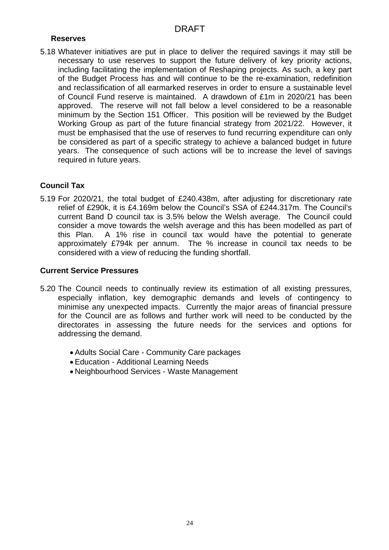## **Reserves**

5.18 Whatever initiatives are put in place to deliver the required savings it may still be necessary to use reserves to support the future delivery of key priority actions, including facilitating the implementation of Reshaping projects. As such, a key part of the Budget Process has and will continue to be the re-examination, redefinition and reclassification of all earmarked reserves in order to ensure a sustainable level of Council Fund reserve is maintained. A drawdown of £1m in 2020/21 has been approved. The reserve will not fall below a level considered to be a reasonable minimum by the Section 151 Officer. This position will be reviewed by the Budget Working Group as part of the future financial strategy from 2021/22. However, it must be emphasised that the use of reserves to fund recurring expenditure can only be considered as part of a specific strategy to achieve a balanced budget in future years. The consequence of such actions will be to increase the level of savings required in future years.

## **Council Tax**

5.19 For 2020/21, the total budget of £240.438m, after adjusting for discretionary rate relief of £290k, it is £4.169m below the Council's SSA of £244.317m. The Council's current Band D council tax is 3.5% below the Welsh average. The Council could consider a move towards the welsh average and this has been modelled as part of this Plan. A 1% rise in council tax would have the potential to generate approximately £794k per annum. The % increase in council tax needs to be considered with a view of reducing the funding shortfall.

### **Current Service Pressures**

- 5.20 The Council needs to continually review its estimation of all existing pressures, especially inflation, key demographic demands and levels of contingency to minimise any unexpected impacts. Currently the major areas of financial pressure for the Council are as follows and further work will need to be conducted by the directorates in assessing the future needs for the services and options for addressing the demand.
	- Adults Social Care Community Care packages
	- Education Additional Learning Needs
	- Neighbourhood Services Waste Management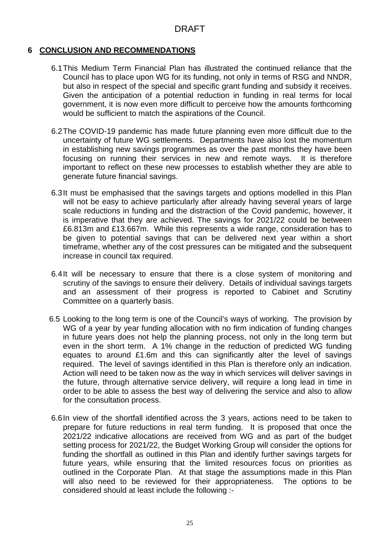## **6 CONCLUSION AND RECOMMENDATIONS**

- 6.1This Medium Term Financial Plan has illustrated the continued reliance that the Council has to place upon WG for its funding, not only in terms of RSG and NNDR, but also in respect of the special and specific grant funding and subsidy it receives. Given the anticipation of a potential reduction in funding in real terms for local government, it is now even more difficult to perceive how the amounts forthcoming would be sufficient to match the aspirations of the Council.
- 6.2The COVID-19 pandemic has made future planning even more difficult due to the uncertainty of future WG settlements. Departments have also lost the momentum in establishing new savings programmes as over the past months they have been focusing on running their services in new and remote ways. It is therefore important to reflect on these new processes to establish whether they are able to generate future financial savings.
- 6.3It must be emphasised that the savings targets and options modelled in this Plan will not be easy to achieve particularly after already having several years of large scale reductions in funding and the distraction of the Covid pandemic, however, it is imperative that they are achieved. The savings for 2021/22 could be between £6.813m and £13.667m. While this represents a wide range, consideration has to be given to potential savings that can be delivered next year within a short timeframe, whether any of the cost pressures can be mitigated and the subsequent increase in council tax required.
- 6.4It will be necessary to ensure that there is a close system of monitoring and scrutiny of the savings to ensure their delivery. Details of individual savings targets and an assessment of their progress is reported to Cabinet and Scrutiny Committee on a quarterly basis.
- 6.5 Looking to the long term is one of the Council's ways of working. The provision by WG of a year by year funding allocation with no firm indication of funding changes in future years does not help the planning process, not only in the long term but even in the short term. A 1% change in the reduction of predicted WG funding equates to around £1.6m and this can significantly alter the level of savings required. The level of savings identified in this Plan is therefore only an indication. Action will need to be taken now as the way in which services will deliver savings in the future, through alternative service delivery, will require a long lead in time in order to be able to assess the best way of delivering the service and also to allow for the consultation process.
- 6.6In view of the shortfall identified across the 3 years, actions need to be taken to prepare for future reductions in real term funding. It is proposed that once the 2021/22 indicative allocations are received from WG and as part of the budget setting process for 2021/22, the Budget Working Group will consider the options for funding the shortfall as outlined in this Plan and identify further savings targets for future years, while ensuring that the limited resources focus on priorities as outlined in the Corporate Plan. At that stage the assumptions made in this Plan will also need to be reviewed for their appropriateness. The options to be considered should at least include the following :-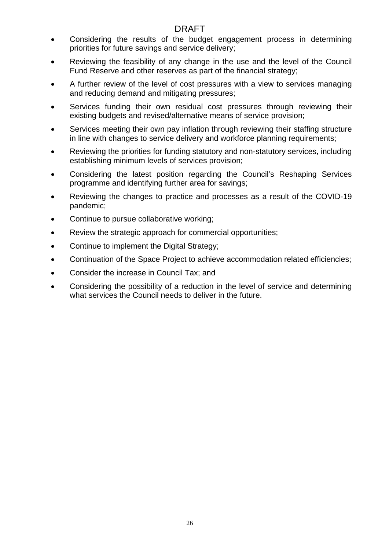- Considering the results of the budget engagement process in determining priorities for future savings and service delivery;
- Reviewing the feasibility of any change in the use and the level of the Council Fund Reserve and other reserves as part of the financial strategy;
- A further review of the level of cost pressures with a view to services managing and reducing demand and mitigating pressures;
- Services funding their own residual cost pressures through reviewing their existing budgets and revised/alternative means of service provision;
- Services meeting their own pay inflation through reviewing their staffing structure in line with changes to service delivery and workforce planning requirements;
- Reviewing the priorities for funding statutory and non-statutory services, including establishing minimum levels of services provision;
- Considering the latest position regarding the Council's Reshaping Services programme and identifying further area for savings;
- Reviewing the changes to practice and processes as a result of the COVID-19 pandemic;
- Continue to pursue collaborative working;
- Review the strategic approach for commercial opportunities;
- Continue to implement the Digital Strategy;
- Continuation of the Space Project to achieve accommodation related efficiencies;
- Consider the increase in Council Tax; and
- Considering the possibility of a reduction in the level of service and determining what services the Council needs to deliver in the future.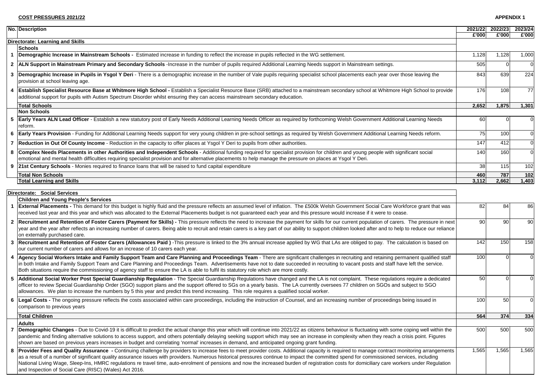|             | No. Description                                                                                                                                                                                                                                                                                                                                                                                                                                                                                                                                                                                                                                              |           | 2021/22 2022/23 | 2023/24    |
|-------------|--------------------------------------------------------------------------------------------------------------------------------------------------------------------------------------------------------------------------------------------------------------------------------------------------------------------------------------------------------------------------------------------------------------------------------------------------------------------------------------------------------------------------------------------------------------------------------------------------------------------------------------------------------------|-----------|-----------------|------------|
|             |                                                                                                                                                                                                                                                                                                                                                                                                                                                                                                                                                                                                                                                              | £'000     | £'000           | £'000      |
|             | <b>Directorate: Learning and Skills</b>                                                                                                                                                                                                                                                                                                                                                                                                                                                                                                                                                                                                                      |           |                 |            |
|             | <b>Schools</b>                                                                                                                                                                                                                                                                                                                                                                                                                                                                                                                                                                                                                                               |           |                 |            |
| $\mathbf 1$ | <b>Demographic Increase in Mainstream Schools -</b> Estimated increase in funding to reflect the increase in pupils reflected in the WG settlement.                                                                                                                                                                                                                                                                                                                                                                                                                                                                                                          | 1,128     | 1,128           | 1,000      |
|             | 2   ALN Support in Mainstream Primary and Secondary Schools -Increase in the number of pupils required Additional Learning Needs support in Mainstream settings.                                                                                                                                                                                                                                                                                                                                                                                                                                                                                             | 505       |                 |            |
| 3           | Demographic Increase in Pupils in Ysgol Y Deri - There is a demographic increase in the number of Vale pupils requiring specialist school placements each year over those leaving the<br>provision at school leaving age.                                                                                                                                                                                                                                                                                                                                                                                                                                    | 843       | 639             | 224        |
| 4           | Establish Specialist Resource Base at Whitmore High School - Establish a Specialist Resource Base (SRB) attached to a mainstream secondary school at Whitmore High School to provide<br>additional support for pupils with Autism Spectrum Disorder whilst ensuring they can access mainstream secondary education.                                                                                                                                                                                                                                                                                                                                          | 176       | 108             | 77         |
|             | <b>Total Schools</b>                                                                                                                                                                                                                                                                                                                                                                                                                                                                                                                                                                                                                                         | 2,652     | 1,875           | 1,301      |
|             | Non Schools                                                                                                                                                                                                                                                                                                                                                                                                                                                                                                                                                                                                                                                  |           |                 |            |
|             | 5 Early Years ALN Lead Officer - Establish a new statutory post of Early Needs Additional Learning Needs Officer as required by forthcoming Welsh Government Additional Learning Needs<br>reform.                                                                                                                                                                                                                                                                                                                                                                                                                                                            | <b>60</b> |                 |            |
|             | 6 Early Years Provision - Funding for Additional Learning Needs support for very young children in pre-school settings as required by Welsh Government Additional Learning Needs reform.                                                                                                                                                                                                                                                                                                                                                                                                                                                                     | 75        | 100             |            |
|             | 7   Reduction in Out Of County Income - Reduction in the capacity to offer places at Ysgol Y Deri to pupils from other authorities.                                                                                                                                                                                                                                                                                                                                                                                                                                                                                                                          | 147       | 412             |            |
| 8           | Complex Needs Placements in other Authorities and Independent Schools - Additional funding required for specialist provision for children and young people with significant social<br>emotional and mental health difficulties requiring specialist provision and for alternative placements to help manage the pressure on places at Ysgol Y Deri.                                                                                                                                                                                                                                                                                                          | 140       | 160             |            |
|             | 9 21st Century Schools - Monies required to finance loans that will be raised to fund capital expenditure                                                                                                                                                                                                                                                                                                                                                                                                                                                                                                                                                    | 38        | 115             | 102        |
|             | <b>Total Non Schools</b>                                                                                                                                                                                                                                                                                                                                                                                                                                                                                                                                                                                                                                     | 460       | 787             | 102        |
|             | <b>Total Learning and Skills</b>                                                                                                                                                                                                                                                                                                                                                                                                                                                                                                                                                                                                                             | 3,112     | 2,662           | 1,403      |
| $\mathbf 1$ | <b>Children and Young People's Services</b><br>External Placements - This demand for this budget is highly fluid and the pressure reflects an assumed level of inflation. The £500k Welsh Government Social Care Workforce grant that was<br>received last year and this year and which was allocated to the External Placements budget is not guaranteed each year and this pressure would increase if it were to cease.                                                                                                                                                                                                                                    | 82        | 84              | 86         |
|             | 2 Recruitment and Retention of Foster Carers (Payment for Skills) - This pressure reflects the need to increase the payment for skills for our current population of carers. The pressure in next<br>year and the year after reflects an increasing number of carers. Being able to recruit and retain carers is a key part of our ability to support children looked after and to help to reduce our reliance                                                                                                                                                                                                                                               | 90        | 90              | 90         |
|             | on externally purchased care.                                                                                                                                                                                                                                                                                                                                                                                                                                                                                                                                                                                                                                |           |                 |            |
|             | Recruitment and Retention of Foster Carers (Allowances Paid) -This pressure is linked to the 3% annual increase applied by WG that LAs are obliged to pay. The calculation is based on<br>our current number of carers and allows for an increase of 10 carers each year.                                                                                                                                                                                                                                                                                                                                                                                    | 142       | 150             | 158        |
|             | 4   Agency Social Workers Intake and Family Support Team and Care Planning and Proceedings Team - There are significant challenges in recruiting and retaining permanent qualified staff<br>in both Intake and Family Support Team and Care Planning and Proceedings Team. Advertisements have not to date succeeded in recruiting to vacant posts and staff have left the service.<br>Both situations require the commissioning of agency staff to ensure the LA is able to fulfil its statutory role which are more costly.                                                                                                                                | 100       |                 |            |
|             | 5   Additional Social Worker Post Special Guardianship Regulation - The Special Guardianship Regulations have changed and the LA is not complaint. These regulations require a dedicated<br>officer to review Special Guardianship Order (SGO) support plans and the support offered to SGs on a yearly basis. The LA currently oversees 77 children on SGOs and subject to SGO<br>allowances. We plan to increase the numbers by 5 this year and predict this trend increasing. This role requires a qualified social worker.                                                                                                                               | 50        |                 |            |
| 6           | Legal Costs - The ongoing pressure reflects the costs associated within care proceedings, including the instruction of Counsel, and an increasing number of proceedings being issued in<br>comparison to previous years                                                                                                                                                                                                                                                                                                                                                                                                                                      | 100       | 50              |            |
|             | <b>Total Children</b>                                                                                                                                                                                                                                                                                                                                                                                                                                                                                                                                                                                                                                        | 564       | 374             | 334        |
|             | <b>Adults</b>                                                                                                                                                                                                                                                                                                                                                                                                                                                                                                                                                                                                                                                |           |                 |            |
|             | 7 Demographic Changes - Due to Covid-19 it is difficult to predict the actual change this year which will continue into 2021/22 as citizens behaviour is fluctuating with some coping well within the<br>pandemic and finding alternative solutions to access support, and others potentially delaying seeking support which may see an increase in complexity when they reach a crisis point. Figures<br>shown are based on previous years increases in budget and correlating 'normal' increases in demand, and anticipated ongoing grant funding.                                                                                                         | 500       | 500             | <b>500</b> |
|             | 8 <b>Provider Fees and Quality Assurance</b> - Continuing challenge by providers to increase fees to meet provider costs. Additional capacity is required to manage contract monitoring arrangements<br>as a result of a number of significant quality assurance issues with providers. Numerous historical pressures continue to impact the committed spend for commissioned services, including<br>National Living Wage, Sleep-Ins, HMRC regulations re travel time, auto-enrolment of pensions and now the increased burden of registration costs for domiciliary care workers under Regulation<br>and Inspection of Social Care (RISC) (Wales) Act 2016. | 1,565     | 1,565           | 1,565      |

|                                                   | 2021/22<br>£'000 | 2022/23<br>£'000 | 2023/24<br>£'000 |
|---------------------------------------------------|------------------|------------------|------------------|
|                                                   |                  |                  |                  |
|                                                   |                  |                  |                  |
|                                                   | 1,128            | 1,128            | 1,000            |
|                                                   | 505              | 0                | 0                |
| eaving the                                        | 843              | 639              | 224              |
|                                                   |                  |                  |                  |
| School to provide                                 | 176              | 108              | 77               |
|                                                   | 2,652            | 1,875            | 1,301            |
|                                                   |                  |                  |                  |
| ming Needs                                        | 60               | 0                | 0                |
| eds reform.                                       | 75               | 100              | 0                |
|                                                   | 147              | 412              | 0                |
| nt social                                         | 140              | 160              | 0                |
|                                                   | 38               | 115              | 102              |
|                                                   | 460              | 787              | 102              |
|                                                   | 3,112            | 2,662            | 1,403            |
| e grant that was                                  | 82               | 84               | 86               |
|                                                   |                  |                  |                  |
| e pressure in next<br>duce our reliance           | 90               | 90               | 90               |
| on is based on                                    | 142              | 150              | 158              |
| nt qualified staff<br>the service.                | 100              | 0                | 0                |
| uire a dedicated<br>t to SGO                      | 50               | 0                | 0                |
| issued in                                         | 100              | 50               | $\mathbf 0$      |
|                                                   | 564              | 374              | 334              |
|                                                   |                  |                  |                  |
| g well within the<br>point. Figures               | 500              | 500              | 500              |
| ng arrangements<br>, including<br>nder Regulation | 1,565            | 1,565            | 1,565            |

#### **APPENDIX 1**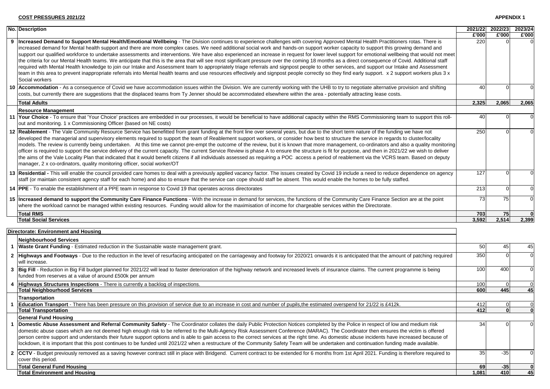**APPENDIX 1**

| <b>No. Description</b>                                                                                                                                                                                                                                                                                                                                                                                                                                                                                                                                                                                                                                                                                                                                                                                                                                                                                                                                                                                                                                                                                                                                                                                    | 2021/22<br>£'000 | 2022/23<br>£'000 | 2023/24<br>£'000 |
|-----------------------------------------------------------------------------------------------------------------------------------------------------------------------------------------------------------------------------------------------------------------------------------------------------------------------------------------------------------------------------------------------------------------------------------------------------------------------------------------------------------------------------------------------------------------------------------------------------------------------------------------------------------------------------------------------------------------------------------------------------------------------------------------------------------------------------------------------------------------------------------------------------------------------------------------------------------------------------------------------------------------------------------------------------------------------------------------------------------------------------------------------------------------------------------------------------------|------------------|------------------|------------------|
| Increased Demand to Support Mental Health/Emotional Wellbeing - The Division continues to experience challenges with covering Approved Mental Health Practitioners rotas. There is<br>increased demand for Mental health support and there are more complex cases. We need additional social work and hands-on support worker capacity to support this growing demand and<br>support our qualified workforce to undertake assessments and interventions. We have also experienced an increase in request for lower level support for emotional wellbeing that would not meet<br>the criteria for our Mental Health teams. We anticipate that this is the area that will see most significant pressure over the coming 18 months as a direct consequence of Covid. Additional staff<br>required with Mental Health knowledge to join our Intake and Assessment team to appropriately triage referrals and signpost people to other services, and support our Intake and Assessment<br>team in this area to prevent inappropriate referrals into Mental health teams and use resources effectively and signpost people correctly so they find early support. x 2 support workers plus 3 x<br>Social workers | 220              |                  |                  |
| 10 Accommodation - As a consequence of Covid we have accommodation issues within the Division. We are currently working with the UHB to try to negotiate alternative provision and shifting<br>costs, but currently there are suggestions that the displaced teams from Ty Jenner should be accommodated elsewhere within the area - potentially attracting lease costs.                                                                                                                                                                                                                                                                                                                                                                                                                                                                                                                                                                                                                                                                                                                                                                                                                                  | 40               |                  |                  |
| <b>Total Adults</b>                                                                                                                                                                                                                                                                                                                                                                                                                                                                                                                                                                                                                                                                                                                                                                                                                                                                                                                                                                                                                                                                                                                                                                                       | 2,325            | 2,065            | 2,065            |
| <b>Resource Management</b>                                                                                                                                                                                                                                                                                                                                                                                                                                                                                                                                                                                                                                                                                                                                                                                                                                                                                                                                                                                                                                                                                                                                                                                |                  |                  |                  |
| 11 Your Choice - To ensure that 'Your Choice' practices are embedded in our processes, it would be beneficial to have additional capacity within the RMS Commissioning team to support this roll-<br>out and monitoring. 1 x Commissioning Officer (based on NE costs)                                                                                                                                                                                                                                                                                                                                                                                                                                                                                                                                                                                                                                                                                                                                                                                                                                                                                                                                    | 40               |                  |                  |
| 12 Reablement - The Vale Community Resource Service has benefitted from grant funding at the front line over several years, but due to the short term nature of the funding we have not<br>developed the managerial and supervisory elements required to support the team of Reablement support workers, or consider how best to structure the service in regards to cluster/locality<br>models. The review is currently being undertaken. At this time we cannot pre-empt the outcome of the review, but it is known that more management, co-ordinators and also a quality monitoring<br>officer is required to support the service delivery of the current capacity. The current Service Review is phase A to ensure the structure is fit for purpose, and then in 2021/22 we wish to deliver<br>the aims of the Vale Locality Plan that indicated that it would benefit citizens if all individuals assessed as requiring a POC access a period of reablement via the VCRS team. Based on deputy<br>manager, 2 x co-ordinators, quality monitoring officer, social worker/OT                                                                                                                          | 250              |                  |                  |
| 13 Residential - This will enable the council provided care homes to deal with a previously applied vacancy factor. The issues created by Covid 19 include a need to reduce dependence on agency<br>staff (or maintain consistent agency staff for each home) and also to ensure that the service can cope should staff be absent. This would enable the homes to be fully staffed.                                                                                                                                                                                                                                                                                                                                                                                                                                                                                                                                                                                                                                                                                                                                                                                                                       | 127              |                  |                  |
| 14 PPE - To enable the establishment of a PPE team in response to Covid 19 that operates across directorates                                                                                                                                                                                                                                                                                                                                                                                                                                                                                                                                                                                                                                                                                                                                                                                                                                                                                                                                                                                                                                                                                              | 213              |                  |                  |
| 15 Increased demand to support the Community Care Finance Functions - With the increase in demand for services, the functions of the Community Care Finance Section are at the point<br>where the workload cannot be managed within existing resources. Funding would allow for the maximisation of income for chargeable services within the Directorate.                                                                                                                                                                                                                                                                                                                                                                                                                                                                                                                                                                                                                                                                                                                                                                                                                                                | 73               | 75               |                  |
| <b>Total RMS</b>                                                                                                                                                                                                                                                                                                                                                                                                                                                                                                                                                                                                                                                                                                                                                                                                                                                                                                                                                                                                                                                                                                                                                                                          | 703              | 75               |                  |
| <b>Total Social Services</b>                                                                                                                                                                                                                                                                                                                                                                                                                                                                                                                                                                                                                                                                                                                                                                                                                                                                                                                                                                                                                                                                                                                                                                              | 3,592            | 2,514            | 2,399            |
| Directorate: Environment and Housing                                                                                                                                                                                                                                                                                                                                                                                                                                                                                                                                                                                                                                                                                                                                                                                                                                                                                                                                                                                                                                                                                                                                                                      |                  |                  |                  |
| Neighbourhood Services                                                                                                                                                                                                                                                                                                                                                                                                                                                                                                                                                                                                                                                                                                                                                                                                                                                                                                                                                                                                                                                                                                                                                                                    |                  |                  |                  |
| 1 Waste Grant Funding - Estimated reduction in the Sustainable waste management grant.                                                                                                                                                                                                                                                                                                                                                                                                                                                                                                                                                                                                                                                                                                                                                                                                                                                                                                                                                                                                                                                                                                                    | 50               | 45               | 45               |
| 2 Highways and Footways - Due to the reduction in the level of resurfacing anticipated on the carriageway and footway for 2020/21 onwards it is anticipated that the amount of patching required<br>will increase.                                                                                                                                                                                                                                                                                                                                                                                                                                                                                                                                                                                                                                                                                                                                                                                                                                                                                                                                                                                        | 350              |                  | 0                |
| 3  Big Fill - Reduction in Big Fill budget planned for 2021/22 will lead to faster deterioration of the highway network and increased levels of insurance claims. The current programme is being<br>funded from reserves at a value of around £500k per annum                                                                                                                                                                                                                                                                                                                                                                                                                                                                                                                                                                                                                                                                                                                                                                                                                                                                                                                                             | 100              | 400              | $\Omega$         |
| 4 Highways Structures Inspections - There is currently a backlog of inspections.                                                                                                                                                                                                                                                                                                                                                                                                                                                                                                                                                                                                                                                                                                                                                                                                                                                                                                                                                                                                                                                                                                                          | 100              |                  | $\mathbf 0$      |
| <b>Total Neighbourhood Services</b>                                                                                                                                                                                                                                                                                                                                                                                                                                                                                                                                                                                                                                                                                                                                                                                                                                                                                                                                                                                                                                                                                                                                                                       | 600              | 445              | 45               |
| <b>Transportation</b>                                                                                                                                                                                                                                                                                                                                                                                                                                                                                                                                                                                                                                                                                                                                                                                                                                                                                                                                                                                                                                                                                                                                                                                     |                  |                  |                  |
| 1 Education Transport - There has been pressure on this provision of service due to an increase in cost and number of pupils, the estimated overspend for 21/22 is £412k.                                                                                                                                                                                                                                                                                                                                                                                                                                                                                                                                                                                                                                                                                                                                                                                                                                                                                                                                                                                                                                 | 412              |                  |                  |
| <b>Total Transportation</b>                                                                                                                                                                                                                                                                                                                                                                                                                                                                                                                                                                                                                                                                                                                                                                                                                                                                                                                                                                                                                                                                                                                                                                               | 412              |                  |                  |
| <b>General Fund Housing</b><br>Domestic Abuse Assessment and Referral Community Safety - The Coordinator collates the daily Public Protection Notices completed by the Police in respect of low and medium risk                                                                                                                                                                                                                                                                                                                                                                                                                                                                                                                                                                                                                                                                                                                                                                                                                                                                                                                                                                                           | 34               |                  |                  |
| domestic abuse cases which are not deemed high enough risk to be referred to the Multi-Agency Risk Assessment Conference (MARAC). The Coordinator then ensures the victim is offered<br>person centre support and understands their future support options and is able to gain access to the correct services at the right time. As domestic abuse incidents have increased because of<br>lockdown, it is important that this post continues to be funded until 2021/22 when a restructure of the Community Safety Team will be undertaken and continuation funding made available.                                                                                                                                                                                                                                                                                                                                                                                                                                                                                                                                                                                                                       |                  |                  |                  |
| 2 CCTV - Budget previously removed as a saving however contract still in place with Bridgend. Current contract to be extended for 6 months from 1st April 2021. Funding is therefore required to<br>cover this period.                                                                                                                                                                                                                                                                                                                                                                                                                                                                                                                                                                                                                                                                                                                                                                                                                                                                                                                                                                                    | 35               | $-35$            |                  |
| <b>Total General Fund Housing</b>                                                                                                                                                                                                                                                                                                                                                                                                                                                                                                                                                                                                                                                                                                                                                                                                                                                                                                                                                                                                                                                                                                                                                                         | 69               | $-35$            |                  |
| <b>Total Environment and Housing</b>                                                                                                                                                                                                                                                                                                                                                                                                                                                                                                                                                                                                                                                                                                                                                                                                                                                                                                                                                                                                                                                                                                                                                                      | 1.081            |                  | 45               |

|              |                                                                                                                                                                                                                                                                                                                                                                                                                                                                                                                                                                                                                                                                                                                                                                                                                                                                                                                                                                                                                                                                                                                                                                                                           | E'000       | E'000        | £'000 |
|--------------|-----------------------------------------------------------------------------------------------------------------------------------------------------------------------------------------------------------------------------------------------------------------------------------------------------------------------------------------------------------------------------------------------------------------------------------------------------------------------------------------------------------------------------------------------------------------------------------------------------------------------------------------------------------------------------------------------------------------------------------------------------------------------------------------------------------------------------------------------------------------------------------------------------------------------------------------------------------------------------------------------------------------------------------------------------------------------------------------------------------------------------------------------------------------------------------------------------------|-------------|--------------|-------|
| 9            | Increased Demand to Support Mental Health/Emotional Wellbeing - The Division continues to experience challenges with covering Approved Mental Health Practitioners rotas. There is<br>increased demand for Mental health support and there are more complex cases. We need additional social work and hands-on support worker capacity to support this growing demand and<br>support our qualified workforce to undertake assessments and interventions. We have also experienced an increase in request for lower level support for emotional wellbeing that would not meet<br>the criteria for our Mental Health teams. We anticipate that this is the area that will see most significant pressure over the coming 18 months as a direct consequence of Covid. Additional staff<br>required with Mental Health knowledge to join our Intake and Assessment team to appropriately triage referrals and signpost people to other services, and support our Intake and Assessment<br>team in this area to prevent inappropriate referrals into Mental health teams and use resources effectively and signpost people correctly so they find early support. x 2 support workers plus 3 x<br>Social workers | 220         |              |       |
|              | 10 Accommodation - As a consequence of Covid we have accommodation issues within the Division. We are currently working with the UHB to try to negotiate alternative provision and shifting<br>costs, but currently there are suggestions that the displaced teams from Ty Jenner should be accommodated elsewhere within the area - potentially attracting lease costs.                                                                                                                                                                                                                                                                                                                                                                                                                                                                                                                                                                                                                                                                                                                                                                                                                                  | 40          |              |       |
|              | <b>Total Adults</b>                                                                                                                                                                                                                                                                                                                                                                                                                                                                                                                                                                                                                                                                                                                                                                                                                                                                                                                                                                                                                                                                                                                                                                                       | 2,325       | 2,065        | 2,065 |
|              | <b>Resource Management</b>                                                                                                                                                                                                                                                                                                                                                                                                                                                                                                                                                                                                                                                                                                                                                                                                                                                                                                                                                                                                                                                                                                                                                                                |             |              |       |
|              | 11 Your Choice - To ensure that 'Your Choice' practices are embedded in our processes, it would be beneficial to have additional capacity within the RMS Commissioning team to support this roll-<br>out and monitoring. 1 x Commissioning Officer (based on NE costs)                                                                                                                                                                                                                                                                                                                                                                                                                                                                                                                                                                                                                                                                                                                                                                                                                                                                                                                                    | 40          |              |       |
|              | 12 Reablement - The Vale Community Resource Service has benefitted from grant funding at the front line over several years, but due to the short term nature of the funding we have not<br>developed the managerial and supervisory elements required to support the team of Reablement support workers, or consider how best to structure the service in regards to cluster/locality<br>models. The review is currently being undertaken. At this time we cannot pre-empt the outcome of the review, but it is known that more management, co-ordinators and also a quality monitoring<br>officer is required to support the service delivery of the current capacity. The current Service Review is phase A to ensure the structure is fit for purpose, and then in 2021/22 we wish to deliver<br>the aims of the Vale Locality Plan that indicated that it would benefit citizens if all individuals assessed as requiring a POC access a period of reablement via the VCRS team. Based on deputy<br>manager, 2 x co-ordinators, quality monitoring officer, social worker/OT                                                                                                                          | 250         |              |       |
|              | 13 Residential - This will enable the council provided care homes to deal with a previously applied vacancy factor. The issues created by Covid 19 include a need to reduce dependence on agency<br>staff (or maintain consistent agency staff for each home) and also to ensure that the service can cope should staff be absent. This would enable the homes to be fully staffed.                                                                                                                                                                                                                                                                                                                                                                                                                                                                                                                                                                                                                                                                                                                                                                                                                       | 127         |              |       |
|              | 14 <b>PPE</b> - To enable the establishment of a PPE team in response to Covid 19 that operates across directorates                                                                                                                                                                                                                                                                                                                                                                                                                                                                                                                                                                                                                                                                                                                                                                                                                                                                                                                                                                                                                                                                                       | 213         |              |       |
|              | 15 Increased demand to support the Community Care Finance Functions - With the increase in demand for services, the functions of the Community Care Finance Section are at the point<br>where the workload cannot be managed within existing resources. Funding would allow for the maximisation of income for chargeable services within the Directorate.                                                                                                                                                                                                                                                                                                                                                                                                                                                                                                                                                                                                                                                                                                                                                                                                                                                | 73          |              |       |
|              | <b>Total RMS</b>                                                                                                                                                                                                                                                                                                                                                                                                                                                                                                                                                                                                                                                                                                                                                                                                                                                                                                                                                                                                                                                                                                                                                                                          | 703         | 75           |       |
|              | <b>Total Social Services</b>                                                                                                                                                                                                                                                                                                                                                                                                                                                                                                                                                                                                                                                                                                                                                                                                                                                                                                                                                                                                                                                                                                                                                                              | 3,592       | 2,514        | 2,399 |
|              |                                                                                                                                                                                                                                                                                                                                                                                                                                                                                                                                                                                                                                                                                                                                                                                                                                                                                                                                                                                                                                                                                                                                                                                                           |             |              |       |
|              | <b>Directorate: Environment and Housing</b>                                                                                                                                                                                                                                                                                                                                                                                                                                                                                                                                                                                                                                                                                                                                                                                                                                                                                                                                                                                                                                                                                                                                                               |             |              |       |
|              | <b>Neighbourhood Services</b>                                                                                                                                                                                                                                                                                                                                                                                                                                                                                                                                                                                                                                                                                                                                                                                                                                                                                                                                                                                                                                                                                                                                                                             |             |              |       |
| 1            | <b>Waste Grant Funding</b> - Estimated reduction in the Sustainable waste management grant.                                                                                                                                                                                                                                                                                                                                                                                                                                                                                                                                                                                                                                                                                                                                                                                                                                                                                                                                                                                                                                                                                                               | 50          | 45           | 45    |
| $\mathbf{2}$ | Highways and Footways - Due to the reduction in the level of resurfacing anticipated on the carriageway and footway for 2020/21 onwards it is anticipated that the amount of patching required<br>will increase.                                                                                                                                                                                                                                                                                                                                                                                                                                                                                                                                                                                                                                                                                                                                                                                                                                                                                                                                                                                          | 350         |              |       |
| 3            | Big Fill - Reduction in Big Fill budget planned for 2021/22 will lead to faster deterioration of the highway network and increased levels of insurance claims. The current programme is being<br>funded from reserves at a value of around £500k per annum                                                                                                                                                                                                                                                                                                                                                                                                                                                                                                                                                                                                                                                                                                                                                                                                                                                                                                                                                | 100         | 400          |       |
|              | 4 Highways Structures Inspections - There is currently a backlog of inspections.                                                                                                                                                                                                                                                                                                                                                                                                                                                                                                                                                                                                                                                                                                                                                                                                                                                                                                                                                                                                                                                                                                                          | 100         | $\Omega$     |       |
|              | <b>Total Neighbourhood Services</b>                                                                                                                                                                                                                                                                                                                                                                                                                                                                                                                                                                                                                                                                                                                                                                                                                                                                                                                                                                                                                                                                                                                                                                       | 600         | 445          | 45    |
|              | Transportation                                                                                                                                                                                                                                                                                                                                                                                                                                                                                                                                                                                                                                                                                                                                                                                                                                                                                                                                                                                                                                                                                                                                                                                            |             |              |       |
|              | <b>Education Transport</b> - There has been pressure on this provision of service due to an increase in cost and number of pupils, the estimated overspend for 21/22 is £412k.                                                                                                                                                                                                                                                                                                                                                                                                                                                                                                                                                                                                                                                                                                                                                                                                                                                                                                                                                                                                                            | 412         |              |       |
|              | <b>Total Transportation</b>                                                                                                                                                                                                                                                                                                                                                                                                                                                                                                                                                                                                                                                                                                                                                                                                                                                                                                                                                                                                                                                                                                                                                                               | 412         |              |       |
|              | <b>General Fund Housing</b>                                                                                                                                                                                                                                                                                                                                                                                                                                                                                                                                                                                                                                                                                                                                                                                                                                                                                                                                                                                                                                                                                                                                                                               |             |              |       |
|              | Domestic Abuse Assessment and Referral Community Safety - The Coordinator collates the daily Public Protection Notices completed by the Police in respect of low and medium risk                                                                                                                                                                                                                                                                                                                                                                                                                                                                                                                                                                                                                                                                                                                                                                                                                                                                                                                                                                                                                          | 34          |              |       |
|              | domestic abuse cases which are not deemed high enough risk to be referred to the Multi-Agency Risk Assessment Conference (MARAC). The Coordinator then ensures the victim is offered<br>person centre support and understands their future support options and is able to gain access to the correct services at the right time. As domestic abuse incidents have increased because of<br>lockdown, it is important that this post continues to be funded until 2021/22 when a restructure of the Community Safety Team will be undertaken and continuation funding made available.                                                                                                                                                                                                                                                                                                                                                                                                                                                                                                                                                                                                                       |             |              |       |
|              | 2 CCTV - Budget previously removed as a saving however contract still in place with Bridgend. Current contract to be extended for 6 months from 1st April 2021. Funding is therefore required to<br>cover this period.                                                                                                                                                                                                                                                                                                                                                                                                                                                                                                                                                                                                                                                                                                                                                                                                                                                                                                                                                                                    | 35          | $-35$        |       |
|              | <b>Total General Fund Housing</b>                                                                                                                                                                                                                                                                                                                                                                                                                                                                                                                                                                                                                                                                                                                                                                                                                                                                                                                                                                                                                                                                                                                                                                         |             |              |       |
|              | <b>Total Environment and Housing</b>                                                                                                                                                                                                                                                                                                                                                                                                                                                                                                                                                                                                                                                                                                                                                                                                                                                                                                                                                                                                                                                                                                                                                                      | 69<br>1,081 | $-35$<br>410 | 45    |
|              |                                                                                                                                                                                                                                                                                                                                                                                                                                                                                                                                                                                                                                                                                                                                                                                                                                                                                                                                                                                                                                                                                                                                                                                                           |             |              |       |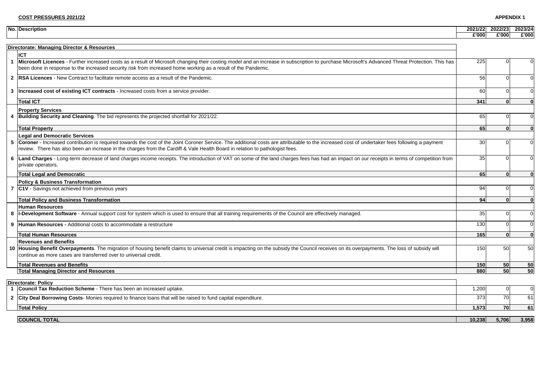#### **APPENDIX 1**

#### **Directorate: Managing Director & Resources**

#### **Property Services**

#### **Legal and Democratic Services**

|   | <b>No. Description</b>                                                                                                                                                                                                                                                                                                           | 2021/22 | 2022/23 | 2023/24        |
|---|----------------------------------------------------------------------------------------------------------------------------------------------------------------------------------------------------------------------------------------------------------------------------------------------------------------------------------|---------|---------|----------------|
|   |                                                                                                                                                                                                                                                                                                                                  | £'000   | £'000   | £'000          |
|   |                                                                                                                                                                                                                                                                                                                                  |         |         |                |
|   | Directorate: Managing Director & Resources                                                                                                                                                                                                                                                                                       |         |         |                |
|   | <b>ICT</b>                                                                                                                                                                                                                                                                                                                       |         |         |                |
|   | 1 Microsoft Licences - Further increased costs as a result of Microsoft changing their costing model and an increase in subscription to purchase Microsoft's Advanced Threat Protection. This has<br>been done in response to the increased security risk from increased home working as a result of the Pandemic.               | 225     |         | 0              |
|   | 2  RSA Licences - New Contract to facilitate remote access as a result of the Pandemic.                                                                                                                                                                                                                                          | 56      |         | 0              |
| 3 | Increased cost of existing ICT contracts - Increased costs from a service provider.                                                                                                                                                                                                                                              | 60      |         | $\mathbf 0$    |
|   | <b>Total ICT</b>                                                                                                                                                                                                                                                                                                                 | 341     |         |                |
|   | <b>Property Services</b>                                                                                                                                                                                                                                                                                                         |         |         |                |
|   | 4 Building Security and Cleaning. The bid represents the projected shortfall for 2021/22.                                                                                                                                                                                                                                        | 65      |         | $\mathbf 0$    |
|   | <b>Total Property</b>                                                                                                                                                                                                                                                                                                            | 65      |         | $\mathbf{0}$   |
|   | <b>Legal and Democratic Services</b>                                                                                                                                                                                                                                                                                             |         |         |                |
|   | 5 Coroner - Increased contribution is required towards the cost of the Joint Coroner Service. The additional costs are attributable to the increased cost of undertaker fees following a payment<br>review. There has also been an increase in the charges from the Cardiff & Vale Health Board in relation to pathologist fees. | 30      |         | $\overline{0}$ |
|   | 6 Land Charges - Long-term decrease of land charges income receipts. The introduction of VAT on some of the land charges fees has had an impact on our receipts in terms of competition from<br>private operators.                                                                                                               | 35      |         | $\Omega$       |
|   | <b>Total Legal and Democratic</b>                                                                                                                                                                                                                                                                                                | 65      |         |                |
|   | <b>Policy &amp; Business Transformation</b>                                                                                                                                                                                                                                                                                      |         |         |                |
|   | 7 C1V - Savings not achieved from previous years                                                                                                                                                                                                                                                                                 | 94      |         | $\overline{0}$ |
|   | <b>Total Policy and Business Transformation</b>                                                                                                                                                                                                                                                                                  | 94      |         | $\mathbf{0}$   |
|   | <b>Human Resources</b>                                                                                                                                                                                                                                                                                                           |         |         |                |
|   | 8  I-Development Software - Annual support cost for system which is used to ensure that all training requirements of the Council are effectively managed.                                                                                                                                                                        | 35      |         | $\mathbf 0$    |
|   | 9  Human Resources - Additional costs to accommodate a restructure                                                                                                                                                                                                                                                               | 130     |         | $\overline{0}$ |
|   | <b>Total Human Resources</b>                                                                                                                                                                                                                                                                                                     | 165     |         | $\mathbf 0$    |
|   | <b>Revenues and Benefits</b>                                                                                                                                                                                                                                                                                                     |         |         |                |
|   | 10 Housing Benefit Overpayments. The migration of housing benefit claims to universal credit is impacting on the subsidy the Council receives on its overpayments. The loss of subsidy will<br>continue as more cases are transferred over to universal credit.                                                                  | 150     | 50      | 50             |
|   | <b>Total Revenues and Benefits</b>                                                                                                                                                                                                                                                                                               | 150     | 50      | 50             |
|   | <b>Total Managing Director and Resources</b>                                                                                                                                                                                                                                                                                     | 880     | 50      | 50             |
|   | Directorate: Policy                                                                                                                                                                                                                                                                                                              |         |         |                |
|   | Council Tax Reduction Scheme - There has been an increased uptake.                                                                                                                                                                                                                                                               | 1,200   |         | $\mathbf 0$    |
|   | 2 City Deal Borrowing Costs-Monies required to finance loans that will be raised to fund capital expenditure.                                                                                                                                                                                                                    | 373     | 70      | 61             |
|   | <b>Total Policy</b>                                                                                                                                                                                                                                                                                                              | 1,573   | 70      | 61             |
|   | <b>COUNCIL TOTAL</b>                                                                                                                                                                                                                                                                                                             | 10,238  | 5,706   | 3,958          |
|   |                                                                                                                                                                                                                                                                                                                                  |         |         |                |

#### **Total Legal and Democratic 65 0 0**

#### **Policy & Business Transformation**

#### **Total Policy and Business Transformation 94 0 0**

#### **Human Resources**

#### **Revenues and Benefits**

#### **Total Revenues and Benefits 150 50 50**

## **Total Managing Director and Resources 880 50 50**

#### **Directorate: Policy**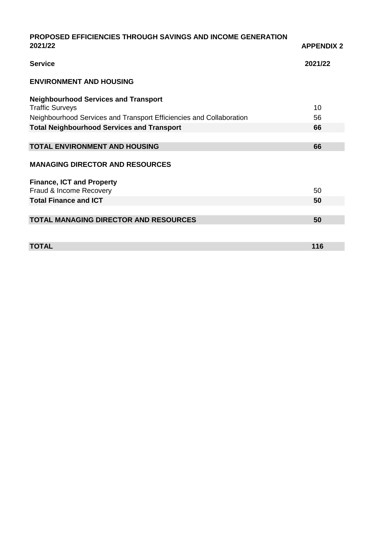| <b>PROPOSED EFFICIENCIES THROUGH SAVINGS AND INCOME GENERATION</b>  |                   |
|---------------------------------------------------------------------|-------------------|
| 2021/22                                                             | <b>APPENDIX 2</b> |
| <b>Service</b>                                                      | 2021/22           |
| <b>ENVIRONMENT AND HOUSING</b>                                      |                   |
| <b>Neighbourhood Services and Transport</b>                         |                   |
| <b>Traffic Surveys</b>                                              | 10                |
| Neighbourhood Services and Transport Efficiencies and Collaboration | 56                |
| <b>Total Neighbourhood Services and Transport</b>                   | 66                |
|                                                                     |                   |
| <b>TOTAL ENVIRONMENT AND HOUSING</b>                                | 66                |
| <b>MANAGING DIRECTOR AND RESOURCES</b>                              |                   |
| <b>Finance, ICT and Property</b>                                    |                   |
| Fraud & Income Recovery                                             | 50                |
| <b>Total Finance and ICT</b>                                        | 50                |
|                                                                     |                   |
| <b>TOTAL MANAGING DIRECTOR AND RESOURCES</b>                        | 50                |
|                                                                     |                   |
| <b>TOTAL</b>                                                        | 116               |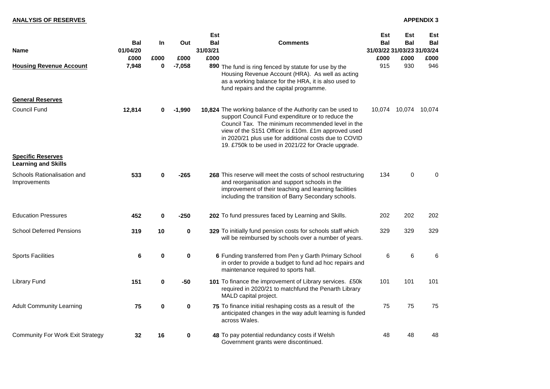# **ANALYSIS OF RESERVES** APPENDIX 3

|                                                        |                        |             |             | <b>Est</b>             |                                                                                                                                                                                                                                                                                                                                             | <b>Est</b>                               | <b>Est</b>     | <b>Est</b> |
|--------------------------------------------------------|------------------------|-------------|-------------|------------------------|---------------------------------------------------------------------------------------------------------------------------------------------------------------------------------------------------------------------------------------------------------------------------------------------------------------------------------------------|------------------------------------------|----------------|------------|
| <b>Name</b>                                            | <b>Bal</b><br>01/04/20 | <b>In</b>   | Out         | <b>Bal</b><br>31/03/21 | <b>Comments</b>                                                                                                                                                                                                                                                                                                                             | <b>Bal</b><br>31/03/22 31/03/23 31/03/24 | <b>Bal</b>     | <b>Bal</b> |
|                                                        | £000                   | £000        | £000        | £000                   |                                                                                                                                                                                                                                                                                                                                             | £000                                     | £000           | £000       |
| <b>Housing Revenue Account</b>                         | 7,948                  | 0           | $-7,058$    | 890                    | The fund is ring fenced by statute for use by the<br>Housing Revenue Account (HRA). As well as acting<br>as a working balance for the HRA, it is also used to<br>fund repairs and the capital programme.                                                                                                                                    | 915                                      | 930            | 946        |
| <b>General Reserves</b>                                |                        |             |             |                        |                                                                                                                                                                                                                                                                                                                                             |                                          |                |            |
| <b>Council Fund</b>                                    | 12,814                 | 0           | $-1,990$    |                        | 10,824 The working balance of the Authority can be used to<br>support Council Fund expenditure or to reduce the<br>Council Tax. The minimum recommended level in the<br>view of the S151 Officer is £10m. £1m approved used<br>in 2020/21 plus use for additional costs due to COVID<br>19. £750k to be used in 2021/22 for Oracle upgrade. | 10,074                                   | 10,074         | 10,074     |
| <b>Specific Reserves</b><br><b>Learning and Skills</b> |                        |             |             |                        |                                                                                                                                                                                                                                                                                                                                             |                                          |                |            |
| <b>Schools Rationalisation and</b><br>Improvements     | 533                    | 0           | $-265$      |                        | 268 This reserve will meet the costs of school restructuring<br>and reorganisation and support schools in the<br>improvement of their teaching and learning facilities<br>including the transition of Barry Secondary schools.                                                                                                              | 134                                      | $\overline{0}$ | $\Omega$   |
| <b>Education Pressures</b>                             | 452                    | $\mathbf 0$ | $-250$      |                        | 202 To fund pressures faced by Learning and Skills.                                                                                                                                                                                                                                                                                         | 202                                      | 202            | 202        |
| <b>School Deferred Pensions</b>                        | 319                    | 10          | $\mathbf 0$ |                        | 329 To initially fund pension costs for schools staff which<br>will be reimbursed by schools over a number of years.                                                                                                                                                                                                                        | 329                                      | 329            | 329        |
| <b>Sports Facilities</b>                               | 6                      | 0           | 0           |                        | 6 Funding transferred from Pen y Garth Primary School<br>in order to provide a budget to fund ad hoc repairs and<br>maintenance required to sports hall.                                                                                                                                                                                    | 6                                        | 6              | 6          |
| <b>Library Fund</b>                                    | 151                    | $\mathbf 0$ | -50         |                        | 101 To finance the improvement of Library services. £50k<br>required in 2020/21 to matchfund the Penarth Library<br>MALD capital project.                                                                                                                                                                                                   | 101                                      | 101            | 101        |
| <b>Adult Community Learning</b>                        | 75                     | $\mathbf 0$ | 0           |                        | 75 To finance initial reshaping costs as a result of the<br>anticipated changes in the way adult learning is funded<br>across Wales.                                                                                                                                                                                                        | 75                                       | 75             | 75         |
| <b>Community For Work Exit Strategy</b>                | 32                     | 16          | 0           |                        | 48 To pay potential redundancy costs if Welsh<br>Government grants were discontinued.                                                                                                                                                                                                                                                       | 48                                       | 48             | 48         |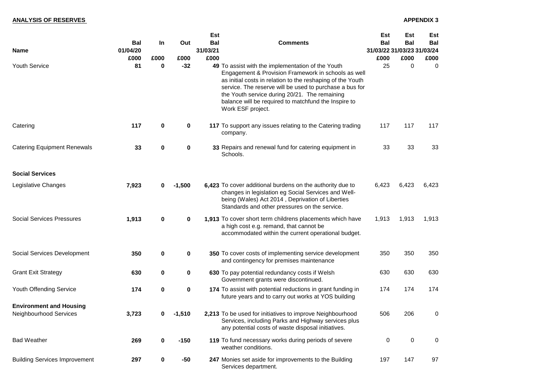|                                                                 |                  |             |             | <b>Est</b>       |                                                                                                                                                                                                                                                                                                                                                                 | <b>Est</b>                         | <b>Est</b>     | <b>Est</b>     |
|-----------------------------------------------------------------|------------------|-------------|-------------|------------------|-----------------------------------------------------------------------------------------------------------------------------------------------------------------------------------------------------------------------------------------------------------------------------------------------------------------------------------------------------------------|------------------------------------|----------------|----------------|
|                                                                 | <b>Bal</b>       | <u>In</u>   | Out         | <b>Bal</b>       | <b>Comments</b>                                                                                                                                                                                                                                                                                                                                                 | <b>Bal</b>                         | <b>Bal</b>     | <b>Bal</b>     |
| <b>Name</b>                                                     | 01/04/20<br>£000 | £000        | £000        | 31/03/21<br>£000 |                                                                                                                                                                                                                                                                                                                                                                 | 31/03/22 31/03/23 31/03/24<br>£000 | £000           | £000           |
| <b>Youth Service</b>                                            | 81               | $\bf{0}$    | $-32$       |                  | 49 To assist with the implementation of the Youth<br>Engagement & Provision Framework in schools as well<br>as initial costs in relation to the reshaping of the Youth<br>service. The reserve will be used to purchase a bus for<br>the Youth service during 20/21. The remaining<br>balance will be required to matchfund the Inspire to<br>Work ESF project. | 25                                 | $\overline{0}$ | $\overline{0}$ |
| Catering                                                        | 117              | $\mathbf 0$ | $\bf{0}$    |                  | 117 To support any issues relating to the Catering trading<br>company.                                                                                                                                                                                                                                                                                          | 117                                | 117            | 117            |
| <b>Catering Equipment Renewals</b>                              | 33               | $\mathbf 0$ | $\mathbf 0$ |                  | 33 Repairs and renewal fund for catering equipment in<br>Schools.                                                                                                                                                                                                                                                                                               | 33                                 | 33             | 33             |
| <b>Social Services</b>                                          |                  |             |             |                  |                                                                                                                                                                                                                                                                                                                                                                 |                                    |                |                |
| Legislative Changes                                             | 7,923            | 0           | $-1,500$    |                  | 6,423 To cover additional burdens on the authority due to<br>changes in legislation eg Social Services and Well-<br>being (Wales) Act 2014, Deprivation of Liberties<br>Standards and other pressures on the service.                                                                                                                                           | 6,423                              | 6,423          | 6,423          |
| <b>Social Services Pressures</b>                                | 1,913            | $\mathbf 0$ | $\mathbf 0$ |                  | 1,913 To cover short term childrens placements which have<br>a high cost e.g. remand, that cannot be<br>accommodated within the current operational budget.                                                                                                                                                                                                     | 1,913                              | 1,913          | 1,913          |
| <b>Social Services Development</b>                              | 350              | $\mathbf 0$ | $\bf{0}$    |                  | 350 To cover costs of implementing service development<br>and contingency for premises maintenance                                                                                                                                                                                                                                                              | 350                                | 350            | 350            |
| <b>Grant Exit Strategy</b>                                      | 630              | $\mathbf 0$ | $\mathbf 0$ |                  | 630 To pay potential redundancy costs if Welsh<br>Government grants were discontinued.                                                                                                                                                                                                                                                                          | 630                                | 630            | 630            |
| <b>Youth Offending Service</b>                                  | 174              | $\mathbf 0$ | $\mathbf 0$ |                  | 174 To assist with potential reductions in grant funding in<br>future years and to carry out works at YOS building                                                                                                                                                                                                                                              | 174                                | 174            | 174            |
| <b>Environment and Housing</b><br><b>Neighbourhood Services</b> | 3,723            | $\mathbf 0$ | $-1,510$    |                  | 2,213 To be used for initiatives to improve Neighbourhood<br>Services, including Parks and Highway services plus<br>any potential costs of waste disposal initiatives.                                                                                                                                                                                          | 506                                | 206            | $\overline{0}$ |
| <b>Bad Weather</b>                                              | 269              | $\mathbf 0$ | $-150$      |                  | 119 To fund necessary works during periods of severe<br>weather conditions.                                                                                                                                                                                                                                                                                     | $\mathbf 0$                        | $\mathbf 0$    | $\overline{0}$ |
| <b>Building Services Improvement</b>                            | 297              | $\mathbf 0$ | $-50$       |                  | 247 Monies set aside for improvements to the Building<br>Services department.                                                                                                                                                                                                                                                                                   | 197                                | 147            | 97             |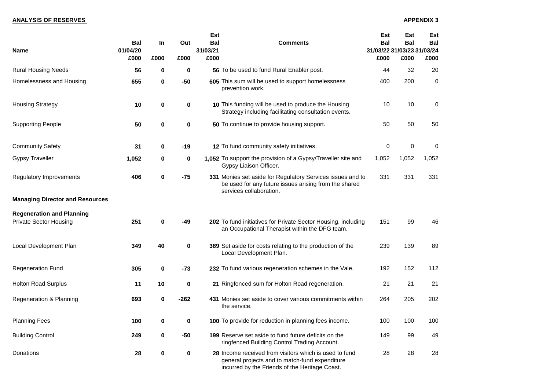| <b>Name</b>                                                       | <b>Bal</b><br>01/04/20<br>£000 | In<br>£000       | Out<br>£000 | <b>Est</b><br><b>Bal</b><br>31/03/21<br>£000 | <b>Comments</b>                                                                                                                                            | <b>Est</b><br><b>Bal</b><br>31/03/22 31/03/23 31/03/24<br>£000 | <b>Est</b><br><b>Bal</b><br>£000 | <b>Est</b><br><b>Bal</b><br>£000 |
|-------------------------------------------------------------------|--------------------------------|------------------|-------------|----------------------------------------------|------------------------------------------------------------------------------------------------------------------------------------------------------------|----------------------------------------------------------------|----------------------------------|----------------------------------|
| <b>Rural Housing Needs</b>                                        | 56                             | $\bf{0}$         | $\bf{0}$    |                                              | 56 To be used to fund Rural Enabler post.                                                                                                                  | 44                                                             | 32                               | 20                               |
| Homelessness and Housing                                          | 655                            | $\mathbf 0$      | $-50$       |                                              | 605 This sum will be used to support homelessness<br>prevention work.                                                                                      | 400                                                            | 200                              | $\mathbf 0$                      |
| <b>Housing Strategy</b>                                           | 10                             | $\boldsymbol{0}$ | $\bf{0}$    |                                              | 10 This funding will be used to produce the Housing<br>Strategy including facilitating consultation events.                                                | 10                                                             | 10                               | $\mathbf 0$                      |
| <b>Supporting People</b>                                          | 50                             | $\bf{0}$         | $\mathbf 0$ |                                              | 50 To continue to provide housing support.                                                                                                                 | 50                                                             | 50                               | 50                               |
| <b>Community Safety</b>                                           | 31                             | $\mathbf 0$      | $-19$       |                                              | 12 To fund community safety initiatives.                                                                                                                   | $\mathbf 0$                                                    | $\pmb{0}$                        | $\overline{0}$                   |
| <b>Gypsy Traveller</b>                                            | 1,052                          | $\mathbf 0$      | $\mathbf 0$ |                                              | 1,052 To support the provision of a Gypsy/Traveller site and<br>Gypsy Liaison Officer.                                                                     | 1,052                                                          | 1,052                            | 1,052                            |
| <b>Regulatory Improvements</b>                                    | 406                            | $\mathbf 0$      | $-75$       |                                              | 331 Monies set aside for Regulatory Services issues and to<br>be used for any future issues arising from the shared<br>services collaboration.             | 331                                                            | 331                              | 331                              |
| <b>Managing Director and Resources</b>                            |                                |                  |             |                                              |                                                                                                                                                            |                                                                |                                  |                                  |
| <b>Regeneration and Planning</b><br><b>Private Sector Housing</b> | 251                            | $\bf{0}$         | -49         |                                              | 202 To fund initiatives for Private Sector Housing, including<br>an Occupational Therapist within the DFG team.                                            | 151                                                            | 99                               | 46                               |
| <b>Local Development Plan</b>                                     | 349                            | 40               | $\bf{0}$    |                                              | 389 Set aside for costs relating to the production of the<br>Local Development Plan.                                                                       | 239                                                            | 139                              | 89                               |
| <b>Regeneration Fund</b>                                          | 305                            | $\mathbf 0$      | $-73$       |                                              | 232 To fund various regeneration schemes in the Vale.                                                                                                      | 192                                                            | 152                              | 112                              |
| <b>Holton Road Surplus</b>                                        | 11                             | 10               | $\bf{0}$    |                                              | 21 Ringfenced sum for Holton Road regeneration.                                                                                                            | 21                                                             | 21                               | 21                               |
| <b>Regeneration &amp; Planning</b>                                | 693                            | $\mathbf 0$      | $-262$      |                                              | 431 Monies set aside to cover various commitments within<br>the service.                                                                                   | 264                                                            | 205                              | 202                              |
| <b>Planning Fees</b>                                              | 100                            | $\mathbf 0$      | $\mathbf 0$ |                                              | <b>100</b> To provide for reduction in planning fees income.                                                                                               | 100                                                            | 100                              | 100                              |
| <b>Building Control</b>                                           | 249                            | $\mathbf 0$      | $-50$       |                                              | 199 Reserve set aside to fund future deficits on the<br>ringfenced Building Control Trading Account.                                                       | 149                                                            | 99                               | 49                               |
| Donations                                                         | 28                             | $\mathbf 0$      | $\mathbf 0$ |                                              | 28 Income received from visitors which is used to fund<br>general projects and to match-fund expenditure<br>incurred by the Friends of the Heritage Coast. | 28                                                             | 28                               | 28                               |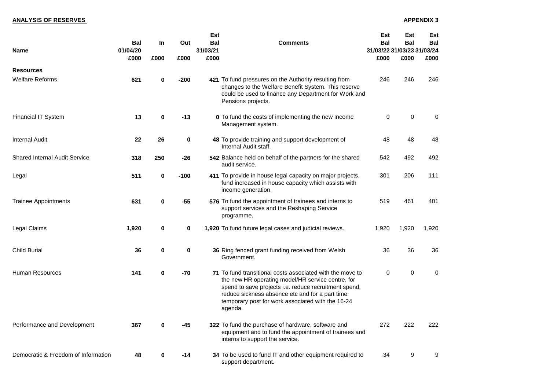# **ANALYSIS OF RESERVES** APPENDIX 3

| <b>Name</b>                          | <b>Bal</b><br>01/04/20<br>£000 | In<br>£000       | Out<br>£000 | <b>Est</b><br><b>Bal</b><br>31/03/21<br>£000 | <b>Comments</b>                                                                                                                                                                                                                                                                            | <b>Est</b><br><b>Bal</b><br>31/03/22 31/03/23 31/03/24<br>£000 | <b>Est</b><br><b>Bal</b><br>£000 | <b>Est</b><br>Bal<br>£000 |
|--------------------------------------|--------------------------------|------------------|-------------|----------------------------------------------|--------------------------------------------------------------------------------------------------------------------------------------------------------------------------------------------------------------------------------------------------------------------------------------------|----------------------------------------------------------------|----------------------------------|---------------------------|
| <b>Resources</b>                     |                                |                  |             |                                              |                                                                                                                                                                                                                                                                                            |                                                                |                                  |                           |
| <b>Welfare Reforms</b>               | 621                            | $\mathbf 0$      | $-200$      |                                              | 421 To fund pressures on the Authority resulting from<br>changes to the Welfare Benefit System. This reserve<br>could be used to finance any Department for Work and<br>Pensions projects.                                                                                                 | 246                                                            | 246                              | 246                       |
| <b>Financial IT System</b>           | 13                             | $\mathbf 0$      | $-13$       |                                              | <b>0</b> To fund the costs of implementing the new Income<br>Management system.                                                                                                                                                                                                            | $\pmb{0}$                                                      | $\mathbf 0$                      | $\mathbf 0$               |
| <b>Internal Audit</b>                | 22                             | 26               | $\mathbf 0$ |                                              | 48 To provide training and support development of<br>Internal Audit staff.                                                                                                                                                                                                                 | 48                                                             | 48                               | 48                        |
| <b>Shared Internal Audit Service</b> | 318                            | 250              | $-26$       |                                              | 542 Balance held on behalf of the partners for the shared<br>audit service.                                                                                                                                                                                                                | 542                                                            | 492                              | 492                       |
| Legal                                | 511                            | $\mathbf 0$      | $-100$      |                                              | 411 To provide in house legal capacity on major projects,<br>fund increased in house capacity which assists with<br>income generation.                                                                                                                                                     | 301                                                            | 206                              | 111                       |
| <b>Trainee Appointments</b>          | 631                            | $\mathbf 0$      | $-55$       |                                              | 576 To fund the appointment of trainees and interns to<br>support services and the Reshaping Service<br>programme.                                                                                                                                                                         | 519                                                            | 461                              | 401                       |
| Legal Claims                         | 1,920                          | $\boldsymbol{0}$ | $\mathbf 0$ |                                              | 1,920 To fund future legal cases and judicial reviews.                                                                                                                                                                                                                                     | 1,920                                                          | 1,920                            | 1,920                     |
| <b>Child Burial</b>                  | 36                             | $\bf{0}$         | 0           |                                              | 36 Ring fenced grant funding received from Welsh<br>Government.                                                                                                                                                                                                                            | 36                                                             | 36                               | 36                        |
| <b>Human Resources</b>               | 141                            | $\mathbf 0$      | -70         |                                              | 71 To fund transitional costs associated with the move to<br>the new HR operating model/HR service centre, for<br>spend to save projects i.e. reduce recruitment spend,<br>reduce sickness absence etc and for a part time<br>temporary post for work associated with the 16-24<br>agenda. | $\mathbf 0$                                                    | $\mathbf 0$                      | $\overline{0}$            |
| Performance and Development          | 367                            | $\bf{0}$         | -45         |                                              | 322 To fund the purchase of hardware, software and<br>equipment and to fund the appointment of trainees and<br>interns to support the service.                                                                                                                                             | 272                                                            | 222                              | 222                       |
| Democratic & Freedom of Information  | 48                             | $\mathbf 0$      | $-14$       |                                              | 34 To be used to fund IT and other equipment required to<br>support department.                                                                                                                                                                                                            | 34                                                             | 9                                | 9                         |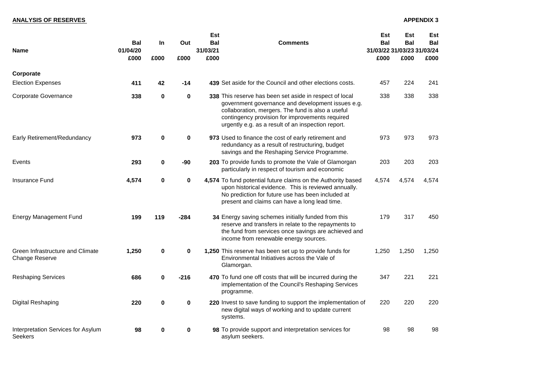| <b>Name</b>                                               | <b>Bal</b><br>01/04/20<br>£000 | <b>In</b><br>£000 | Out<br>£000 | <b>Est</b><br><b>Bal</b><br>31/03/21<br>£000 | <b>Comments</b>                                                                                                                                                                                                                                                            | <b>Est</b><br><b>Bal</b><br>31/03/22 31/03/23 31/03/24<br>£000 | <b>Est</b><br><b>Bal</b><br>£000 | <b>Est</b><br><b>Bal</b><br>£000 |
|-----------------------------------------------------------|--------------------------------|-------------------|-------------|----------------------------------------------|----------------------------------------------------------------------------------------------------------------------------------------------------------------------------------------------------------------------------------------------------------------------------|----------------------------------------------------------------|----------------------------------|----------------------------------|
| Corporate                                                 |                                |                   |             |                                              |                                                                                                                                                                                                                                                                            |                                                                |                                  |                                  |
| <b>Election Expenses</b>                                  | 411                            | 42                | $-14$       |                                              | 439 Set aside for the Council and other elections costs.                                                                                                                                                                                                                   | 457                                                            | 224                              | 241                              |
| <b>Corporate Governance</b>                               | 338                            | $\mathbf 0$       | $\mathbf 0$ |                                              | 338 This reserve has been set aside in respect of local<br>government governance and development issues e.g.<br>collaboration, mergers. The fund is also a useful<br>contingency provision for improvements required<br>urgently e.g. as a result of an inspection report. | 338                                                            | 338                              | 338                              |
| Early Retirement/Redundancy                               | 973                            | $\mathbf 0$       | $\mathbf 0$ |                                              | 973 Used to finance the cost of early retirement and<br>redundancy as a result of restructuring, budget<br>savings and the Reshaping Service Programme.                                                                                                                    | 973                                                            | 973                              | 973                              |
| Events                                                    | 293                            | $\mathbf 0$       | -90         |                                              | 203 To provide funds to promote the Vale of Glamorgan<br>particularly in respect of tourism and economic                                                                                                                                                                   | 203                                                            | 203                              | 203                              |
| <b>Insurance Fund</b>                                     | 4,574                          | $\bf{0}$          | $\mathbf 0$ |                                              | 4,574 To fund potential future claims on the Authority based<br>upon historical evidence. This is reviewed annually.<br>No prediction for future use has been included at<br>present and claims can have a long lead time.                                                 | 4,574                                                          | 4,574                            | 4,574                            |
| <b>Energy Management Fund</b>                             | 199                            | 119               | $-284$      |                                              | 34 Energy saving schemes initially funded from this<br>reserve and transfers in relate to the repayments to<br>the fund from services once savings are achieved and<br>income from renewable energy sources.                                                               | 179                                                            | 317                              | 450                              |
| Green Infrastructure and Climate<br><b>Change Reserve</b> | 1,250                          | $\bf{0}$          | $\mathbf 0$ |                                              | 1,250 This reserve has been set up to provide funds for<br>Environmental Initiatives across the Vale of<br>Glamorgan.                                                                                                                                                      | 1,250                                                          | 1,250                            | 1,250                            |
| <b>Reshaping Services</b>                                 | 686                            | $\mathbf 0$       | $-216$      |                                              | 470 To fund one off costs that will be incurred during the<br>implementation of the Council's Reshaping Services<br>programme.                                                                                                                                             | 347                                                            | 221                              | 221                              |
| <b>Digital Reshaping</b>                                  | 220                            | $\bf{0}$          | $\mathbf 0$ |                                              | 220 Invest to save funding to support the implementation of<br>new digital ways of working and to update current<br>systems.                                                                                                                                               | 220                                                            | 220                              | 220                              |
| Interpretation Services for Asylum<br><b>Seekers</b>      | 98                             | $\bf{0}$          | $\mathbf 0$ |                                              | 98 To provide support and interpretation services for<br>asylum seekers.                                                                                                                                                                                                   | 98                                                             | 98                               | 98                               |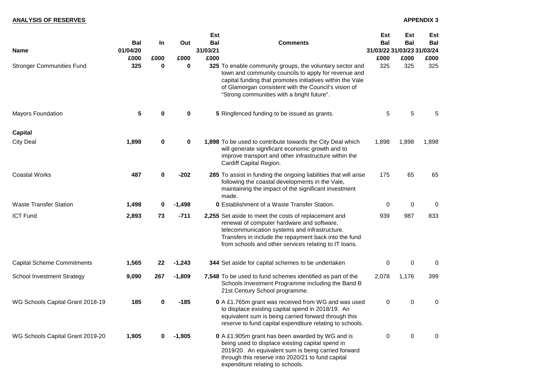# **ANALYSIS OF RESERVES** APPENDIX 3

|                                   | <b>Est</b>                                                                        |             |             |                                          |                                                                                                                                                                                                                                                                                     | <b>Est</b>     | <b>Est</b>     | <b>Est</b>     |
|-----------------------------------|-----------------------------------------------------------------------------------|-------------|-------------|------------------------------------------|-------------------------------------------------------------------------------------------------------------------------------------------------------------------------------------------------------------------------------------------------------------------------------------|----------------|----------------|----------------|
| <b>Name</b>                       | <b>Bal</b><br><b>Bal</b><br>In.<br>Out<br><b>Comments</b><br>31/03/21<br>01/04/20 |             |             | <b>Bal</b><br>31/03/22 31/03/23 31/03/24 | <b>Bal</b>                                                                                                                                                                                                                                                                          | <b>Bal</b>     |                |                |
|                                   | £000                                                                              | £000        | £000        | £000                                     |                                                                                                                                                                                                                                                                                     | £000           | £000           |                |
| <b>Stronger Communities Fund</b>  | 325                                                                               | $\bf{0}$    | $\bf{0}$    |                                          | 325 To enable community groups, the voluntary sector and<br>town and community councils to apply for revenue and<br>capital funding that promotes initiatives within the Vale<br>of Glamorgan consistent with the Council's vision of<br>"Strong communities with a bright future". | 325            | 325            | 325            |
| <b>Mayors Foundation</b>          | 5                                                                                 | $\mathbf 0$ | $\bf{0}$    |                                          | 5 Ringfenced funding to be issued as grants.                                                                                                                                                                                                                                        | 5              | 5              | 5              |
| <b>Capital</b>                    |                                                                                   |             |             |                                          |                                                                                                                                                                                                                                                                                     |                |                |                |
| <b>City Deal</b>                  | 1,898                                                                             | $\mathbf 0$ | $\mathbf 0$ |                                          | 1,898 To be used to contribute towards the City Deal which<br>will generate significant economic growth and to<br>improve transport and other infrastructure within the<br>Cardiff Capital Region.                                                                                  | 1,898          | 1,898          | 1,898          |
| <b>Coastal Works</b>              | 487                                                                               | $\mathbf 0$ | $-202$      |                                          | 285 To assist in funding the ongoing liabilities that will arise<br>following the coastal developments in the Vale,<br>maintaining the impact of the significant investment<br>made.                                                                                                | 175            | 65             | 65             |
| <b>Waste Transfer Station</b>     | 1,498                                                                             | $\mathbf 0$ | $-1,498$    |                                          | <b>0</b> Establishment of a Waste Transfer Station.                                                                                                                                                                                                                                 | $\mathbf 0$    | $\mathbf 0$    | $\overline{0}$ |
| <b>ICT Fund</b>                   | 2,893                                                                             | 73          | $-711$      |                                          | 2,255 Set aside to meet the costs of replacement and<br>renewal of computer hardware and software,<br>telecommunication systems and infrastructure.<br>Transfers in include the repayment back into the fund<br>from schools and other services relating to IT loans.               | 939            | 987            | 833            |
| <b>Capital Scheme Commitments</b> | 1,565                                                                             | 22          | $-1,243$    |                                          | 344 Set aside for capital schemes to be undertaken                                                                                                                                                                                                                                  | $\mathbf 0$    | $\mathbf 0$    | $\mathbf 0$    |
| <b>School Investment Strategy</b> | 9,090                                                                             | 267         | $-1,809$    |                                          | 7,548 To be used to fund schemes identified as part of the<br>Schools Investment Programme including the Band B<br>21st Century School programme.                                                                                                                                   | 2,078          | 1,176          | 399            |
| WG Schools Capital Grant 2018-19  | 185                                                                               | 0           | $-185$      |                                          | <b>0</b> A £1.765m grant was received from WG and was used<br>to displace existing capital spend in 2018/19. An<br>equivalent sum is being carried forward through this<br>reserve to fund capital expenditure relating to schools.                                                 | $\overline{0}$ | $\overline{0}$ | $\overline{0}$ |
| WG Schools Capital Grant 2019-20  | 1,905                                                                             |             | $-1,905$    |                                          | <b>0</b> A £1.905m grant has been awarded by WG and is<br>being used to displace existing capital spend in<br>2019/20. An equivalent sum is being carried forward<br>through this reserve into 2020/21 to fund capital<br>expenditure relating to schools.                          | $\overline{0}$ | $\overline{0}$ | $\overline{0}$ |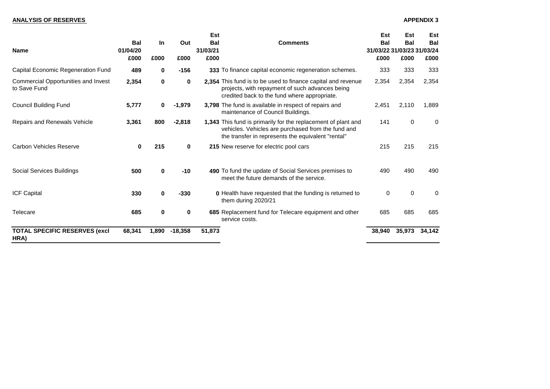| <b>Name</b>                                                | <b>Bal</b><br>01/04/20<br>£000 | <b>In</b><br>£000 | Out<br>£000  | <b>Est</b><br><b>Bal</b><br>31/03/21<br>£000 | <b>Comments</b>                                                                                                                                                           | <b>Est</b><br><b>Bal</b><br>31/03/22 31/03/23 31/03/24<br>£000 | <b>Est</b><br><b>Bal</b><br>£000 | <b>Est</b><br><b>Bal</b><br>£000 |
|------------------------------------------------------------|--------------------------------|-------------------|--------------|----------------------------------------------|---------------------------------------------------------------------------------------------------------------------------------------------------------------------------|----------------------------------------------------------------|----------------------------------|----------------------------------|
| <b>Capital Economic Regeneration Fund</b>                  | 489                            | $\mathbf 0$       | $-156$       |                                              | 333 To finance capital economic regeneration schemes.                                                                                                                     | 333                                                            | 333                              | 333                              |
| <b>Commercial Opportunities and Invest</b><br>to Save Fund | 2,354                          | $\mathbf 0$       | $\mathbf 0$  |                                              | 2,354 This fund is to be used to finance capital and revenue<br>projects, with repayment of such advances being<br>credited back to the fund where appropriate.           | 2,354                                                          | 2,354                            | 2,354                            |
| <b>Council Building Fund</b>                               | 5,777                          | $\mathbf 0$       | $-1,979$     |                                              | 3,798 The fund is available in respect of repairs and<br>maintenance of Council Buildings.                                                                                | 2,451                                                          | 2,110                            | 1,889                            |
| <b>Repairs and Renewals Vehicle</b>                        | 3,361                          | 800               | $-2,818$     |                                              | 1,343 This fund is primarily for the replacement of plant and<br>vehicles. Vehicles are purchased from the fund and<br>the transfer in represents the equivalent "rental" | 141                                                            | $\overline{0}$                   | $\Omega$                         |
| <b>Carbon Vehicles Reserve</b>                             | $\mathbf 0$                    | 215               | $\mathbf{0}$ |                                              | 215 New reserve for electric pool cars                                                                                                                                    | 215                                                            | 215                              | 215                              |
| <b>Social Services Buildings</b>                           | 500                            | $\mathbf 0$       | $-10$        |                                              | 490 To fund the update of Social Services premises to<br>meet the future demands of the service.                                                                          | 490                                                            | 490                              | 490                              |
| <b>ICF Capital</b>                                         | 330                            | $\mathbf 0$       | $-330$       |                                              | <b>0</b> Health have requested that the funding is returned to<br>them during 2020/21                                                                                     | $\overline{0}$                                                 | $\overline{0}$                   | $\overline{0}$                   |
| <b>Telecare</b>                                            | 685                            | $\mathbf 0$       | $\mathbf 0$  |                                              | 685 Replacement fund for Telecare equipment and other<br>service costs.                                                                                                   | 685                                                            | 685                              | 685                              |
| <b>TOTAL SPECIFIC RESERVES (excl</b><br>HRA)               | 68,341                         | 1,890             | $-18,358$    | 51,873                                       |                                                                                                                                                                           | 38,940                                                         | 35,973                           | 34,142                           |